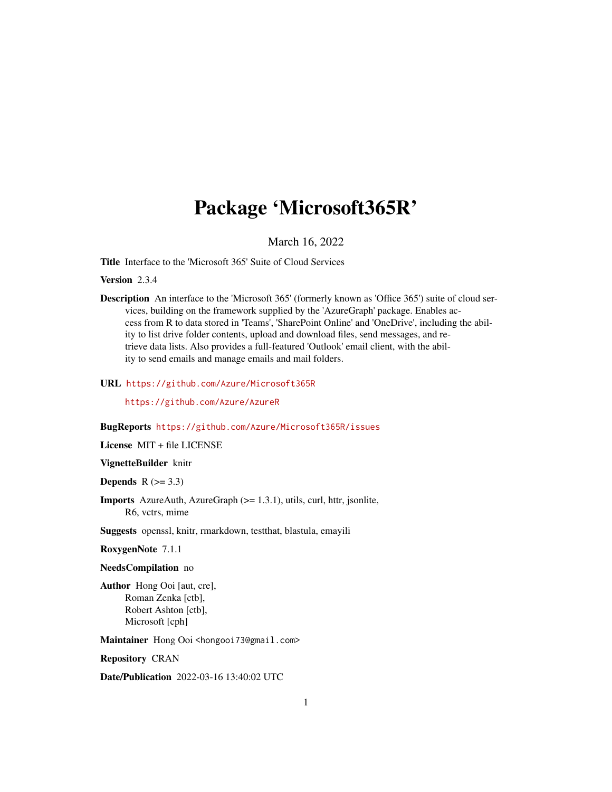# Package 'Microsoft365R'

March 16, 2022

<span id="page-0-0"></span>Title Interface to the 'Microsoft 365' Suite of Cloud Services

Version 2.3.4

Description An interface to the 'Microsoft 365' (formerly known as 'Office 365') suite of cloud services, building on the framework supplied by the 'AzureGraph' package. Enables access from R to data stored in 'Teams', 'SharePoint Online' and 'OneDrive', including the ability to list drive folder contents, upload and download files, send messages, and retrieve data lists. Also provides a full-featured 'Outlook' email client, with the ability to send emails and manage emails and mail folders.

# URL <https://github.com/Azure/Microsoft365R>

<https://github.com/Azure/AzureR>

#### BugReports <https://github.com/Azure/Microsoft365R/issues>

License MIT + file LICENSE

VignetteBuilder knitr

**Depends**  $R$  ( $>= 3.3$ )

Imports AzureAuth, AzureGraph (>= 1.3.1), utils, curl, httr, jsonlite, R6, vctrs, mime

Suggests openssl, knitr, rmarkdown, testthat, blastula, emayili

RoxygenNote 7.1.1

NeedsCompilation no

Author Hong Ooi [aut, cre], Roman Zenka [ctb], Robert Ashton [ctb], Microsoft [cph]

Maintainer Hong Ooi <hongooi73@gmail.com>

Repository CRAN

Date/Publication 2022-03-16 13:40:02 UTC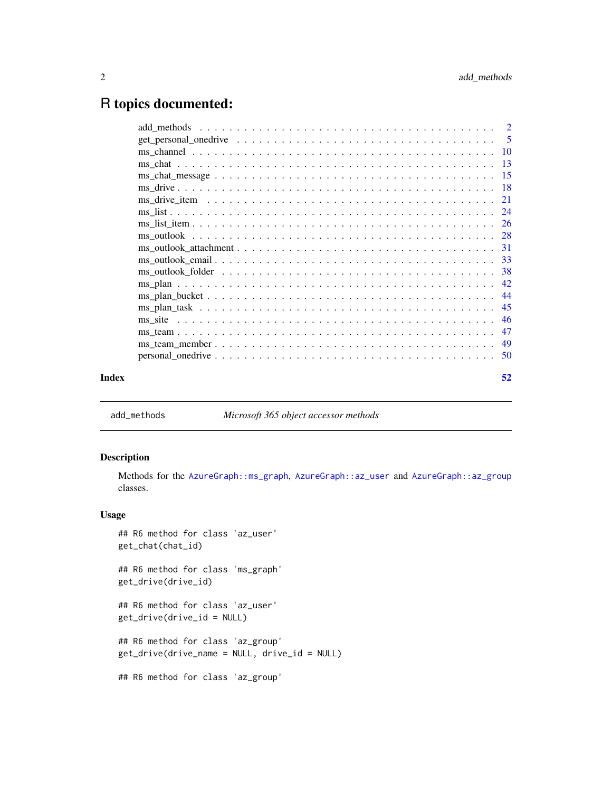# <span id="page-1-0"></span>R topics documented:

| Index | 52 |
|-------|----|

<span id="page-1-1"></span>add\_methods *Microsoft 365 object accessor methods*

# Description

Methods for the [AzureGraph::ms\\_graph](#page-0-0), [AzureGraph::az\\_user](#page-0-0) and [AzureGraph::az\\_group](#page-0-0) classes.

# Usage

```
## R6 method for class 'az_user'
get_chat(chat_id)
```
## R6 method for class 'ms\_graph' get\_drive(drive\_id)

## R6 method for class 'az\_user' get\_drive(drive\_id = NULL)

## R6 method for class 'az\_group' get\_drive(drive\_name = NULL, drive\_id = NULL)

## R6 method for class 'az\_group'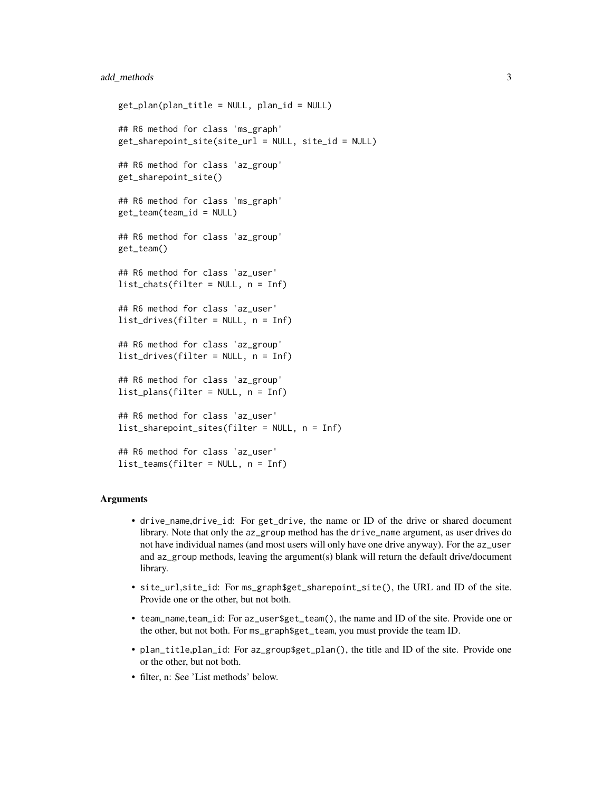# add\_methods 3

```
get_plan(plan_title = NULL, plan_id = NULL)
## R6 method for class 'ms_graph'
get_sharepoint_site(site_url = NULL, site_id = NULL)
## R6 method for class 'az_group'
get_sharepoint_site()
## R6 method for class 'ms_graph'
get_team(team_id = NULL)
## R6 method for class 'az_group'
get_team()
## R6 method for class 'az_user'
list_chats(filter = NULL, n = Inf)
## R6 method for class 'az_user'
list_drives(filter = NULL, n = Inf)
## R6 method for class 'az_group'
list_drives(filter = NULL, n = Inf)
## R6 method for class 'az_group'
list_plans(filter = NULL, n = Inf)
## R6 method for class 'az_user'
list_sharepoint_sites(filter = NULL, n = Inf)
## R6 method for class 'az_user'
list_teams(filter = NULL, n = Inf)
```
# Arguments

- drive\_name,drive\_id: For get\_drive, the name or ID of the drive or shared document library. Note that only the az\_group method has the drive\_name argument, as user drives do not have individual names (and most users will only have one drive anyway). For the az\_user and az\_group methods, leaving the argument(s) blank will return the default drive/document library.
- site\_url,site\_id: For ms\_graph\$get\_sharepoint\_site(), the URL and ID of the site. Provide one or the other, but not both.
- team\_name,team\_id: For az\_user\$get\_team(), the name and ID of the site. Provide one or the other, but not both. For ms\_graph\$get\_team, you must provide the team ID.
- plan\_title,plan\_id: For az\_group\$get\_plan(), the title and ID of the site. Provide one or the other, but not both.
- filter, n: See 'List methods' below.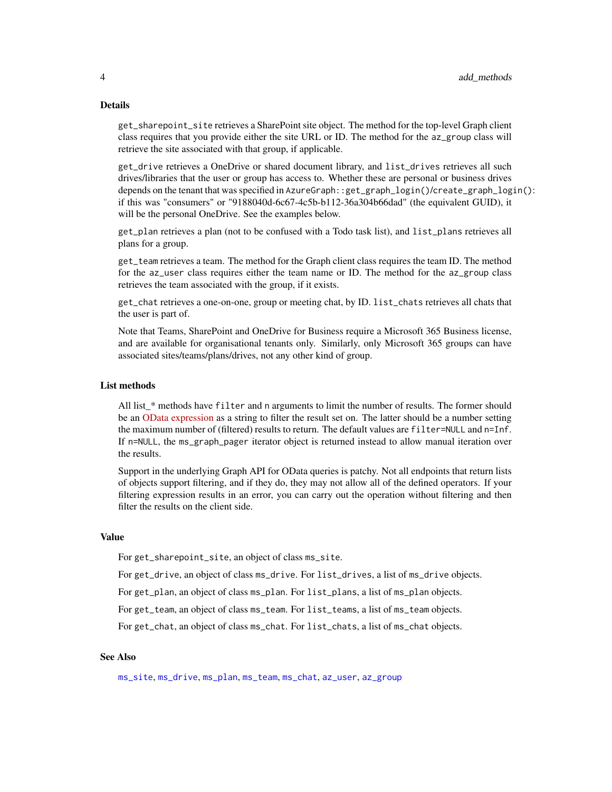# <span id="page-3-0"></span>Details

get\_sharepoint\_site retrieves a SharePoint site object. The method for the top-level Graph client class requires that you provide either the site URL or ID. The method for the az\_group class will retrieve the site associated with that group, if applicable.

get\_drive retrieves a OneDrive or shared document library, and list\_drives retrieves all such drives/libraries that the user or group has access to. Whether these are personal or business drives depends on the tenant that was specified in AzureGraph::get\_graph\_login()/create\_graph\_login(): if this was "consumers" or "9188040d-6c67-4c5b-b112-36a304b66dad" (the equivalent GUID), it will be the personal OneDrive. See the examples below.

get\_plan retrieves a plan (not to be confused with a Todo task list), and list\_plans retrieves all plans for a group.

get\_team retrieves a team. The method for the Graph client class requires the team ID. The method for the az\_user class requires either the team name or ID. The method for the az\_group class retrieves the team associated with the group, if it exists.

get\_chat retrieves a one-on-one, group or meeting chat, by ID. list\_chats retrieves all chats that the user is part of.

Note that Teams, SharePoint and OneDrive for Business require a Microsoft 365 Business license, and are available for organisational tenants only. Similarly, only Microsoft 365 groups can have associated sites/teams/plans/drives, not any other kind of group.

# List methods

All list\_\* methods have filter and n arguments to limit the number of results. The former should be an [OData expression](https://docs.microsoft.com/en-us/graph/query-parameters#filter-parameter) as a string to filter the result set on. The latter should be a number setting the maximum number of (filtered) results to return. The default values are filter=NULL and n=Inf. If n=NULL, the ms\_graph\_pager iterator object is returned instead to allow manual iteration over the results.

Support in the underlying Graph API for OData queries is patchy. Not all endpoints that return lists of objects support filtering, and if they do, they may not allow all of the defined operators. If your filtering expression results in an error, you can carry out the operation without filtering and then filter the results on the client side.

#### Value

For get\_sharepoint\_site, an object of class ms\_site.

For get\_drive, an object of class ms\_drive. For list\_drives, a list of ms\_drive objects.

For get\_plan, an object of class ms\_plan. For list\_plans, a list of ms\_plan objects.

For get\_team, an object of class ms\_team. For list\_teams, a list of ms\_team objects.

For get\_chat, an object of class ms\_chat. For list\_chats, a list of ms\_chat objects.

# See Also

[ms\\_site](#page-45-1), [ms\\_drive](#page-17-1), [ms\\_plan](#page-41-1), [ms\\_team](#page-46-1), [ms\\_chat](#page-12-1), [az\\_user](#page-0-0), [az\\_group](#page-0-0)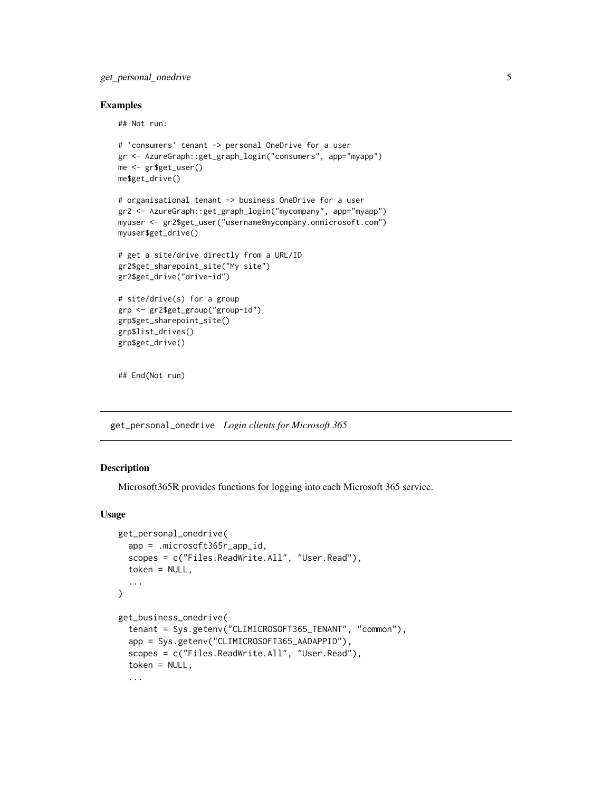# <span id="page-4-0"></span>get\_personal\_onedrive 5

# Examples

## Not run:

```
# 'consumers' tenant -> personal OneDrive for a user
gr <- AzureGraph::get_graph_login("consumers", app="myapp")
me <- gr$get_user()
me$get_drive()
```

```
# organisational tenant -> business OneDrive for a user
gr2 <- AzureGraph::get_graph_login("mycompany", app="myapp")
myuser <- gr2$get_user("username@mycompany.onmicrosoft.com")
myuser$get_drive()
```

```
# get a site/drive directly from a URL/ID
gr2$get_sharepoint_site("My site")
gr2$get_drive("drive-id")
```

```
# site/drive(s) for a group
grp <- gr2$get_group("group-id")
grp$get_sharepoint_site()
grp$list_drives()
grp$get_drive()
```
## End(Not run)

<span id="page-4-1"></span>get\_personal\_onedrive *Login clients for Microsoft 365*

# <span id="page-4-2"></span>Description

Microsoft365R provides functions for logging into each Microsoft 365 service.

# Usage

```
get_personal_onedrive(
  app = .microsoft365r_app_id,
  scopes = c("Files.ReadWrite.All", "User.Read"),
  token = NULL,
  ...
)
get_business_onedrive(
  tenant = Sys.getenv("CLIMICROSOFT365_TENANT", "common"),
  app = Sys.getenv("CLIMICROSOFT365_AADAPPID"),
  scopes = c("Files.ReadWrite.All", "User.Read"),
  token = NULL,
  ...
```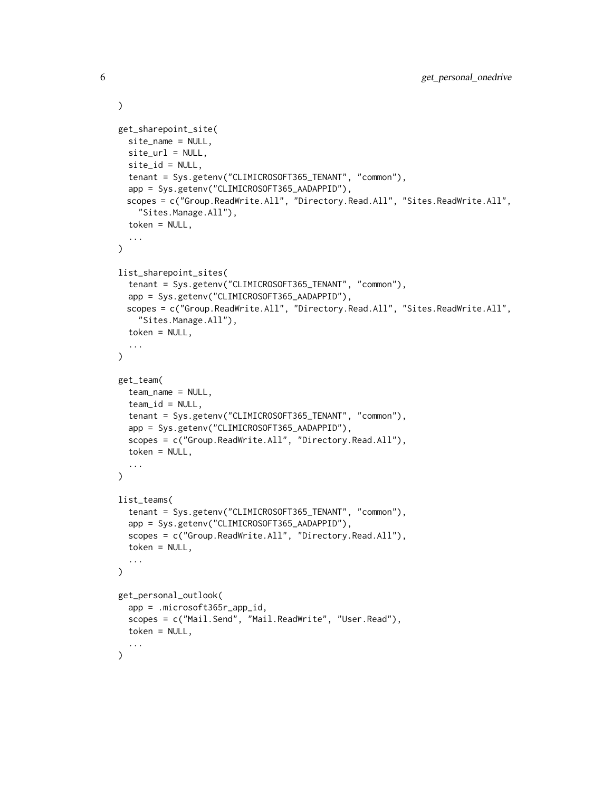```
get_sharepoint_site(
  site_name = NULL,
  site\_url = NULL,site_id = NULL,
  tenant = Sys.getenv("CLIMICROSOFT365_TENANT", "common"),
  app = Sys.getenv("CLIMICROSOFT365_AADAPPID"),
 scopes = c("Group.ReadWrite.All", "Directory.Read.All", "Sites.ReadWrite.All",
    "Sites.Manage.All"),
  token = NULL,
  ...
)
list_sharepoint_sites(
  tenant = Sys.getenv("CLIMICROSOFT365_TENANT", "common"),
  app = Sys.getenv("CLIMICROSOFT365_AADAPPID"),
 scopes = c("Group.ReadWrite.All", "Directory.Read.All", "Sites.ReadWrite.All",
    "Sites.Manage.All"),
  token = NULL,
  ...
\mathcal{L}get_team(
  team_name = NULL,
  team_id = NULL,tenant = Sys.getenv("CLIMICROSOFT365_TENANT", "common"),
  app = Sys.getenv("CLIMICROSOFT365_AADAPPID"),
  scopes = c("Group.ReadWrite.All", "Directory.Read.All"),
  token = NULL,
  ...
)
list_teams(
  tenant = Sys.getenv("CLIMICROSOFT365_TENANT", "common"),
  app = Sys.getenv("CLIMICROSOFT365_AADAPPID"),
  scopes = c("Group.ReadWrite.All", "Directory.Read.All"),
  token = NULL,
  ...
)
get_personal_outlook(
  app = .microsoft365r_app_id,
  scopes = c("Mail.Send", "Mail.ReadWrite", "User.Read"),
  token = NULL,
  ...
)
```
 $\mathcal{L}$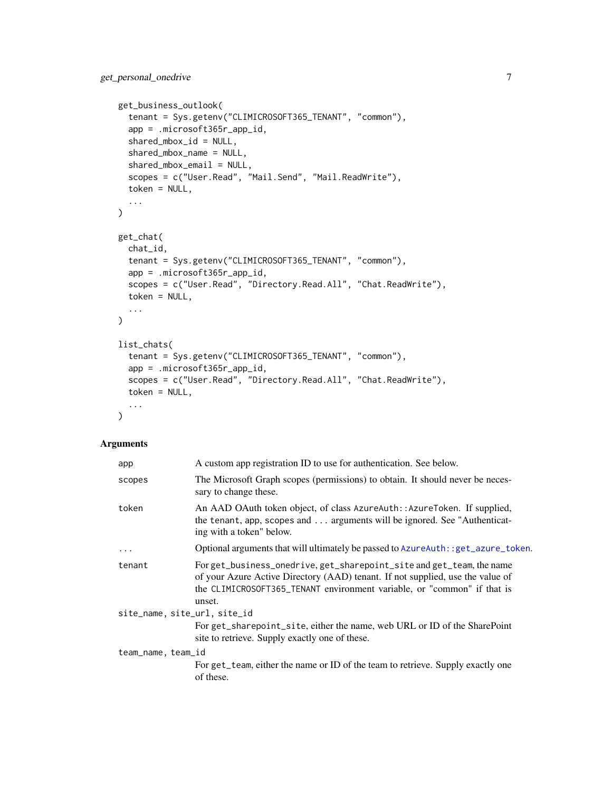```
get_business_outlook(
  tenant = Sys.getenv("CLIMICROSOFT365_TENANT", "common"),
  app = .microsoft365r_app_id,
  shared_mbox_id = NULL,
  shared_mbox_name = NULL,
  shared_mbox_email = NULL,
  scopes = c("User.Read", "Mail.Send", "Mail.ReadWrite"),
  token = NULL,
  ...
)
get_chat(
  chat_id,
  tenant = Sys.getenv("CLIMICROSOFT365_TENANT", "common"),
  app = .microsoft365r_app_id,
  scopes = c("User.Read", "Directory.Read.All", "Chat.ReadWrite"),
  token = NULL,
  ...
\lambdalist_chats(
  tenant = Sys.getenv("CLIMICROSOFT365_TENANT", "common"),
  app = .microsoft365r_app_id,
  scopes = c("User.Read", "Directory.Read.All", "Chat.ReadWrite"),
  token = NULL,
  ...
\mathcal{L}
```
# Arguments

| app                          | A custom app registration ID to use for authentication. See below.                                                                                                                                                                           |
|------------------------------|----------------------------------------------------------------------------------------------------------------------------------------------------------------------------------------------------------------------------------------------|
| scopes                       | The Microsoft Graph scopes (permissions) to obtain. It should never be neces-<br>sary to change these.                                                                                                                                       |
| token                        | An AAD OAuth token object, of class AzureAuth::AzureToken. If supplied,<br>the tenant, app, scopes and  arguments will be ignored. See "Authenticat-<br>ing with a token" below.                                                             |
| .                            | Optional arguments that will ultimately be passed to AzureAuth: : get_azure_token.                                                                                                                                                           |
| tenant                       | For get_business_onedrive, get_sharepoint_site and get_team, the name<br>of your Azure Active Directory (AAD) tenant. If not supplied, use the value of<br>the CLIMICROSOFT365_TENANT environment variable, or "common" if that is<br>unset. |
| site_name, site_url, site_id |                                                                                                                                                                                                                                              |
|                              | For get_sharepoint_site, either the name, web URL or ID of the SharePoint<br>site to retrieve. Supply exactly one of these.                                                                                                                  |
| team_name, team_id           | For get_team, either the name or ID of the team to retrieve. Supply exactly one<br>of these.                                                                                                                                                 |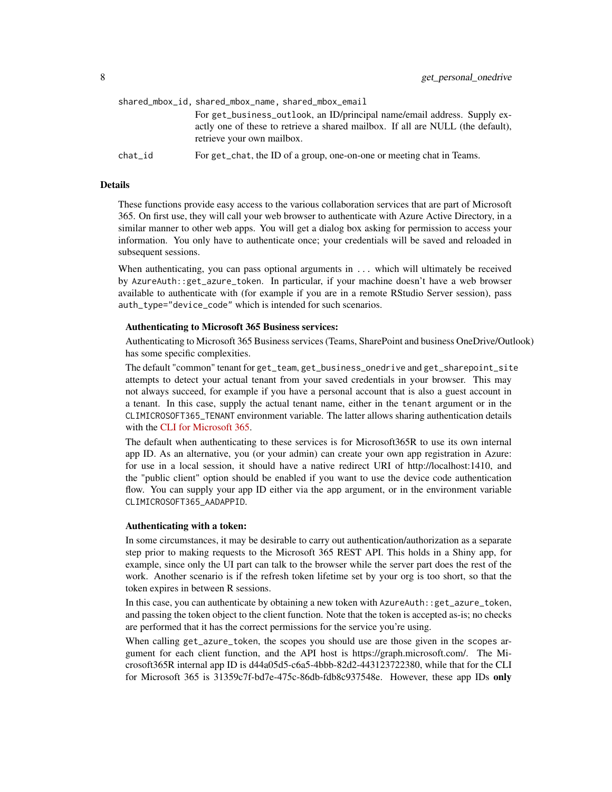|         | shared_mbox_id, shared_mbox_name, shared_mbox_email                                                           |
|---------|---------------------------------------------------------------------------------------------------------------|
|         | For get_business_outlook, an ID/principal name/email address. Supply ex-                                      |
|         | actly one of these to retrieve a shared mailbox. If all are NULL (the default),<br>retrieve your own mailbox. |
| chat_id | For get_chat, the ID of a group, one-on-one or meeting chat in Teams.                                         |

#### Details

These functions provide easy access to the various collaboration services that are part of Microsoft 365. On first use, they will call your web browser to authenticate with Azure Active Directory, in a similar manner to other web apps. You will get a dialog box asking for permission to access your information. You only have to authenticate once; your credentials will be saved and reloaded in subsequent sessions.

When authenticating, you can pass optional arguments in ... which will ultimately be received by AzureAuth::get\_azure\_token. In particular, if your machine doesn't have a web browser available to authenticate with (for example if you are in a remote RStudio Server session), pass auth\_type="device\_code" which is intended for such scenarios.

#### Authenticating to Microsoft 365 Business services:

Authenticating to Microsoft 365 Business services (Teams, SharePoint and business OneDrive/Outlook) has some specific complexities.

The default "common" tenant for get\_team, get\_business\_onedrive and get\_sharepoint\_site attempts to detect your actual tenant from your saved credentials in your browser. This may not always succeed, for example if you have a personal account that is also a guest account in a tenant. In this case, supply the actual tenant name, either in the tenant argument or in the CLIMICROSOFT365\_TENANT environment variable. The latter allows sharing authentication details with the [CLI for Microsoft 365.](https://pnp.github.io/cli-microsoft365/)

The default when authenticating to these services is for Microsoft365R to use its own internal app ID. As an alternative, you (or your admin) can create your own app registration in Azure: for use in a local session, it should have a native redirect URI of http://localhost:1410, and the "public client" option should be enabled if you want to use the device code authentication flow. You can supply your app ID either via the app argument, or in the environment variable CLIMICROSOFT365\_AADAPPID.

#### Authenticating with a token:

In some circumstances, it may be desirable to carry out authentication/authorization as a separate step prior to making requests to the Microsoft 365 REST API. This holds in a Shiny app, for example, since only the UI part can talk to the browser while the server part does the rest of the work. Another scenario is if the refresh token lifetime set by your org is too short, so that the token expires in between R sessions.

In this case, you can authenticate by obtaining a new token with AzureAuth::get\_azure\_token, and passing the token object to the client function. Note that the token is accepted as-is; no checks are performed that it has the correct permissions for the service you're using.

When calling get\_azure\_token, the scopes you should use are those given in the scopes argument for each client function, and the API host is https://graph.microsoft.com/. The Microsoft365R internal app ID is d44a05d5-c6a5-4bbb-82d2-443123722380, while that for the CLI for Microsoft 365 is 31359c7f-bd7e-475c-86db-fdb8c937548e. However, these app IDs only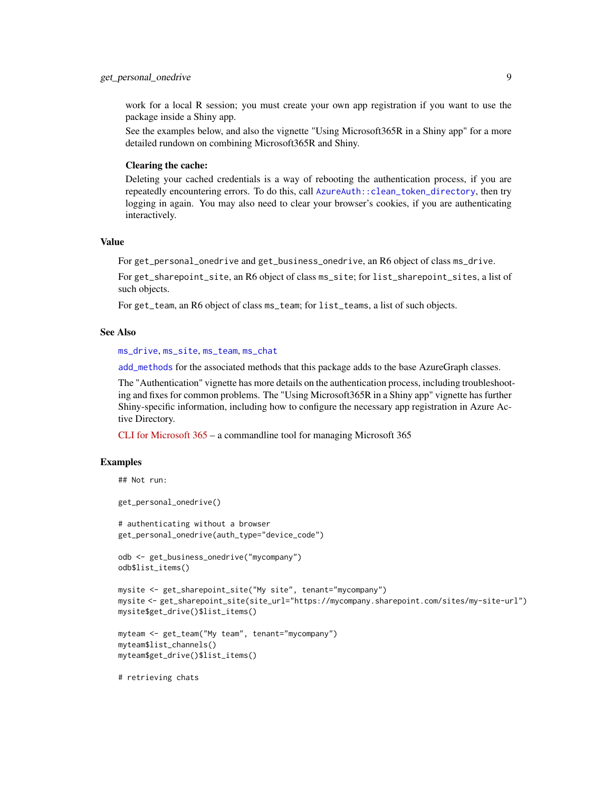# <span id="page-8-0"></span>get\_personal\_onedrive 9

work for a local R session; you must create your own app registration if you want to use the package inside a Shiny app.

See the examples below, and also the vignette "Using Microsoft365R in a Shiny app" for a more detailed rundown on combining Microsoft365R and Shiny.

# Clearing the cache:

Deleting your cached credentials is a way of rebooting the authentication process, if you are repeatedly encountering errors. To do this, call [AzureAuth::clean\\_token\\_directory](#page-0-0), then try logging in again. You may also need to clear your browser's cookies, if you are authenticating interactively.

# Value

For get\_personal\_onedrive and get\_business\_onedrive, an R6 object of class ms\_drive.

For get\_sharepoint\_site, an R6 object of class ms\_site; for list\_sharepoint\_sites, a list of such objects.

For get\_team, an R6 object of class ms\_team; for list\_teams, a list of such objects.

#### See Also

[ms\\_drive](#page-17-1), [ms\\_site](#page-45-1), [ms\\_team](#page-46-1), [ms\\_chat](#page-12-1)

[add\\_methods](#page-1-1) for the associated methods that this package adds to the base AzureGraph classes.

The "Authentication" vignette has more details on the authentication process, including troubleshooting and fixes for common problems. The "Using Microsoft365R in a Shiny app" vignette has further Shiny-specific information, including how to configure the necessary app registration in Azure Active Directory.

[CLI for Microsoft 365](https://pnp.github.io/cli-microsoft365/) – a commandline tool for managing Microsoft 365

# Examples

```
## Not run:
```
get\_personal\_onedrive()

# authenticating without a browser get\_personal\_onedrive(auth\_type="device\_code")

```
odb <- get_business_onedrive("mycompany")
odb$list_items()
```

```
mysite <- get_sharepoint_site("My site", tenant="mycompany")
mysite <- get_sharepoint_site(site_url="https://mycompany.sharepoint.com/sites/my-site-url")
mysite$get_drive()$list_items()
```

```
myteam <- get_team("My team", tenant="mycompany")
myteam$list_channels()
myteam$get_drive()$list_items()
```
# retrieving chats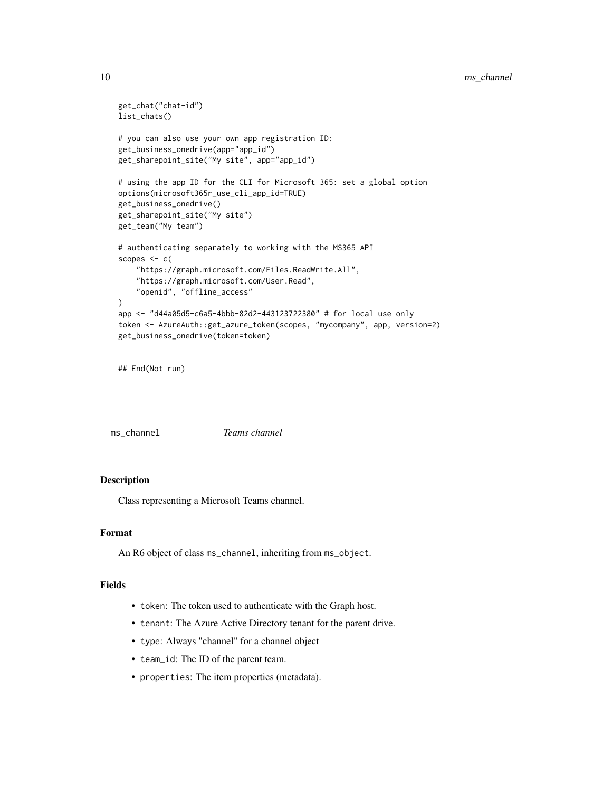```
get_chat("chat-id")
list_chats()
# you can also use your own app registration ID:
get_business_onedrive(app="app_id")
get_sharepoint_site("My site", app="app_id")
# using the app ID for the CLI for Microsoft 365: set a global option
options(microsoft365r_use_cli_app_id=TRUE)
get_business_onedrive()
get_sharepoint_site("My site")
get_team("My team")
# authenticating separately to working with the MS365 API
scopes <- c(
    "https://graph.microsoft.com/Files.ReadWrite.All",
    "https://graph.microsoft.com/User.Read",
    "openid", "offline_access"
)
app <- "d44a05d5-c6a5-4bbb-82d2-443123722380" # for local use only
token <- AzureAuth::get_azure_token(scopes, "mycompany", app, version=2)
get_business_onedrive(token=token)
```

```
## End(Not run)
```
<span id="page-9-1"></span>ms\_channel *Teams channel*

# Description

Class representing a Microsoft Teams channel.

# Format

An R6 object of class ms\_channel, inheriting from ms\_object.

# Fields

- token: The token used to authenticate with the Graph host.
- tenant: The Azure Active Directory tenant for the parent drive.
- type: Always "channel" for a channel object
- team\_id: The ID of the parent team.
- properties: The item properties (metadata).

<span id="page-9-0"></span>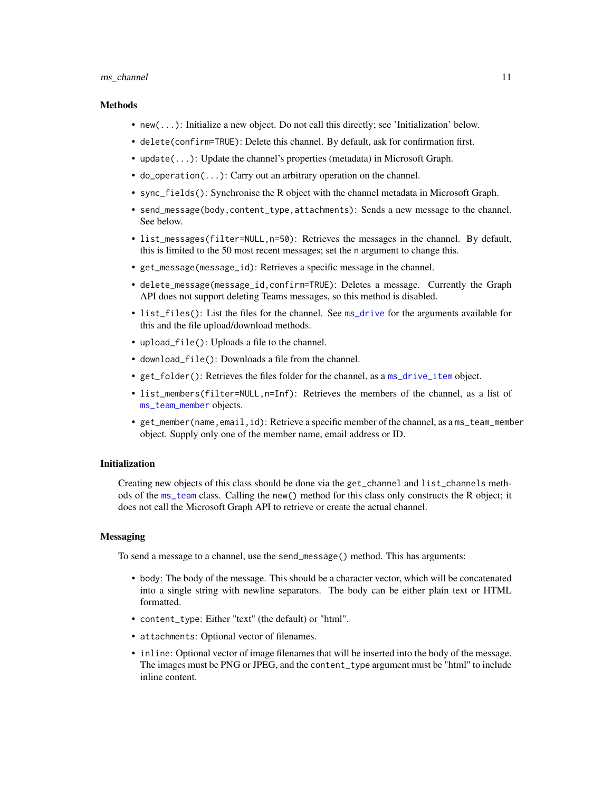#### <span id="page-10-0"></span>ms\_channel 11

#### Methods

- new(...): Initialize a new object. Do not call this directly; see 'Initialization' below.
- delete(confirm=TRUE): Delete this channel. By default, ask for confirmation first.
- update(...): Update the channel's properties (metadata) in Microsoft Graph.
- do\_operation(...): Carry out an arbitrary operation on the channel.
- sync\_fields(): Synchronise the R object with the channel metadata in Microsoft Graph.
- send\_message(body,content\_type,attachments): Sends a new message to the channel. See below.
- list\_messages(filter=NULL,n=50): Retrieves the messages in the channel. By default, this is limited to the 50 most recent messages; set the n argument to change this.
- get\_message(message\_id): Retrieves a specific message in the channel.
- delete\_message(message\_id,confirm=TRUE): Deletes a message. Currently the Graph API does not support deleting Teams messages, so this method is disabled.
- list\_files(): List the files for the channel. See [ms\\_drive](#page-17-1) for the arguments available for this and the file upload/download methods.
- upload\_file(): Uploads a file to the channel.
- download\_file(): Downloads a file from the channel.
- get\_folder(): Retrieves the files folder for the channel, as a [ms\\_drive\\_item](#page-20-1) object.
- list\_members(filter=NULL,n=Inf): Retrieves the members of the channel, as a list of [ms\\_team\\_member](#page-48-1) objects.
- get\_member(name,email,id): Retrieve a specific member of the channel, as a ms\_team\_member object. Supply only one of the member name, email address or ID.

#### Initialization

Creating new objects of this class should be done via the get\_channel and list\_channels methods of the [ms\\_team](#page-46-1) class. Calling the new() method for this class only constructs the R object; it does not call the Microsoft Graph API to retrieve or create the actual channel.

# **Messaging**

To send a message to a channel, use the send\_message() method. This has arguments:

- body: The body of the message. This should be a character vector, which will be concatenated into a single string with newline separators. The body can be either plain text or HTML formatted.
- content\_type: Either "text" (the default) or "html".
- attachments: Optional vector of filenames.
- inline: Optional vector of image filenames that will be inserted into the body of the message. The images must be PNG or JPEG, and the content\_type argument must be "html" to include inline content.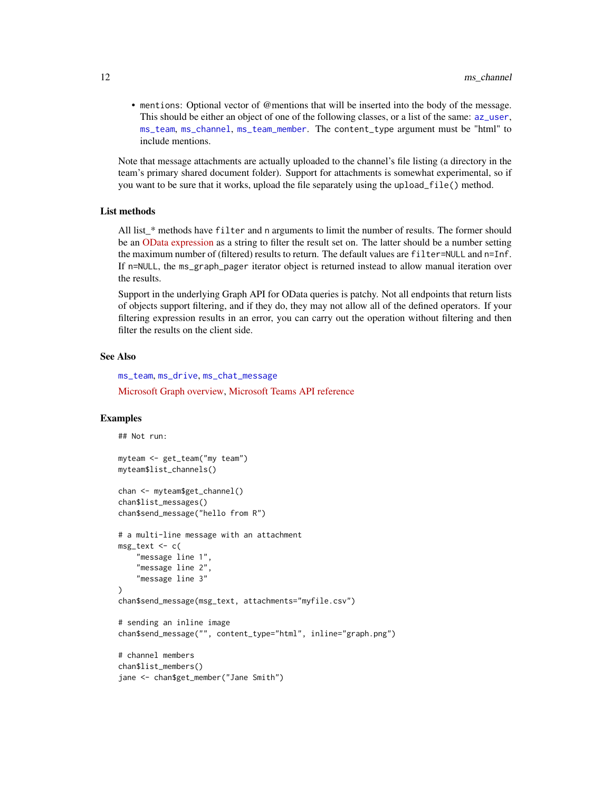<span id="page-11-0"></span>• mentions: Optional vector of @mentions that will be inserted into the body of the message. This should be either an object of one of the following classes, or a list of the same: [az\\_user](#page-0-0), [ms\\_team](#page-46-1), [ms\\_channel](#page-9-1), [ms\\_team\\_member](#page-48-1). The content\_type argument must be "html" to include mentions.

Note that message attachments are actually uploaded to the channel's file listing (a directory in the team's primary shared document folder). Support for attachments is somewhat experimental, so if you want to be sure that it works, upload the file separately using the upload\_file() method.

#### List methods

All list\_\* methods have filter and n arguments to limit the number of results. The former should be an [OData expression](https://docs.microsoft.com/en-us/graph/query-parameters#filter-parameter) as a string to filter the result set on. The latter should be a number setting the maximum number of (filtered) results to return. The default values are filter=NULL and n=Inf. If n=NULL, the ms\_graph\_pager iterator object is returned instead to allow manual iteration over the results.

Support in the underlying Graph API for OData queries is patchy. Not all endpoints that return lists of objects support filtering, and if they do, they may not allow all of the defined operators. If your filtering expression results in an error, you can carry out the operation without filtering and then filter the results on the client side.

# See Also

[ms\\_team](#page-46-1), [ms\\_drive](#page-17-1), [ms\\_chat\\_message](#page-14-1) [Microsoft Graph overview,](https://docs.microsoft.com/en-us/graph/overview) [Microsoft Teams API reference](https://docs.microsoft.com/en-us/graph/api/resources/teams-api-overview?view=graph-rest-1.0)

## Examples

```
## Not run:
myteam <- get_team("my team")
myteam$list_channels()
chan <- myteam$get_channel()
chan$list_messages()
chan$send_message("hello from R")
# a multi-line message with an attachment
msg_text <- c(
    "message line 1",
    "message line 2",
    "message line 3"
\lambdachan$send_message(msg_text, attachments="myfile.csv")
# sending an inline image
chan$send_message("", content_type="html", inline="graph.png")
# channel members
chan$list_members()
jane <- chan$get_member("Jane Smith")
```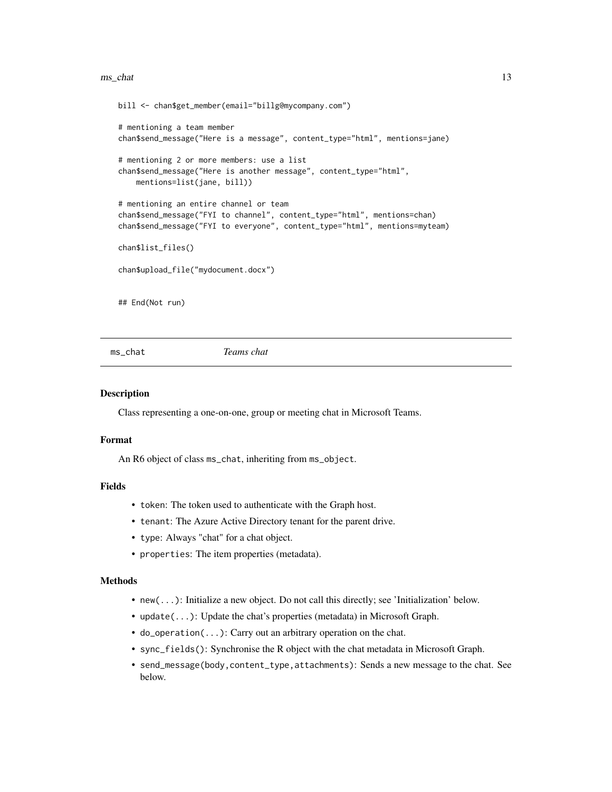#### <span id="page-12-0"></span>ms\_chat 13

```
bill <- chan$get_member(email="billg@mycompany.com")
# mentioning a team member
chan$send_message("Here is a message", content_type="html", mentions=jane)
# mentioning 2 or more members: use a list
chan$send_message("Here is another message", content_type="html",
   mentions=list(jane, bill))
# mentioning an entire channel or team
chan$send_message("FYI to channel", content_type="html", mentions=chan)
chan$send_message("FYI to everyone", content_type="html", mentions=myteam)
chan$list_files()
chan$upload_file("mydocument.docx")
## End(Not run)
```
<span id="page-12-1"></span>ms\_chat *Teams chat*

#### Description

Class representing a one-on-one, group or meeting chat in Microsoft Teams.

#### Format

An R6 object of class ms\_chat, inheriting from ms\_object.

# Fields

- token: The token used to authenticate with the Graph host.
- tenant: The Azure Active Directory tenant for the parent drive.
- type: Always "chat" for a chat object.
- properties: The item properties (metadata).

# Methods

- new(...): Initialize a new object. Do not call this directly; see 'Initialization' below.
- update(...): Update the chat's properties (metadata) in Microsoft Graph.
- do\_operation(...): Carry out an arbitrary operation on the chat.
- sync\_fields(): Synchronise the R object with the chat metadata in Microsoft Graph.
- send\_message(body,content\_type,attachments): Sends a new message to the chat. See below.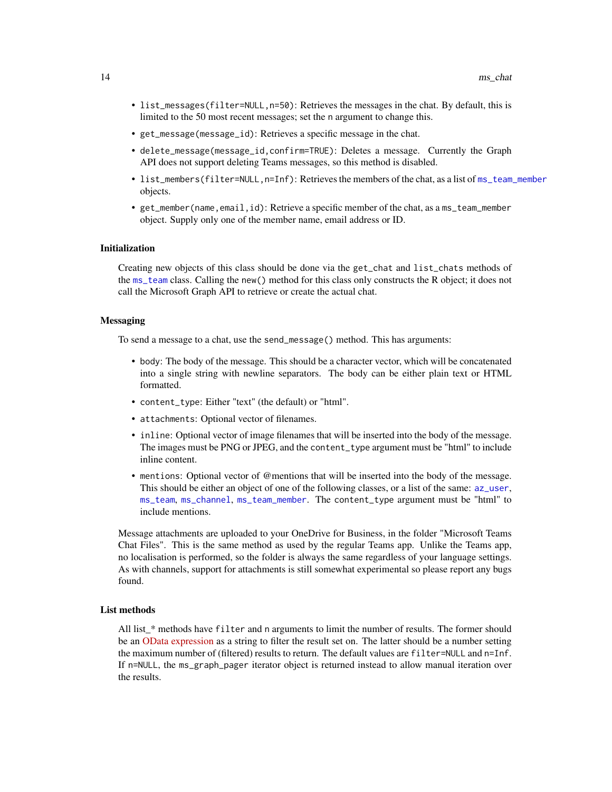- <span id="page-13-0"></span>• list\_messages(filter=NULL,n=50): Retrieves the messages in the chat. By default, this is limited to the 50 most recent messages; set the n argument to change this.
- get\_message(message\_id): Retrieves a specific message in the chat.
- delete\_message(message\_id,confirm=TRUE): Deletes a message. Currently the Graph API does not support deleting Teams messages, so this method is disabled.
- list\_members(filter=NULL,n=Inf): Retrieves the members of the chat, as a list of [ms\\_team\\_member](#page-48-1) objects.
- get\_member(name,email,id): Retrieve a specific member of the chat, as a ms\_team\_member object. Supply only one of the member name, email address or ID.

# Initialization

Creating new objects of this class should be done via the get\_chat and list\_chats methods of the [ms\\_team](#page-46-1) class. Calling the new() method for this class only constructs the R object; it does not call the Microsoft Graph API to retrieve or create the actual chat.

# Messaging

To send a message to a chat, use the send\_message() method. This has arguments:

- body: The body of the message. This should be a character vector, which will be concatenated into a single string with newline separators. The body can be either plain text or HTML formatted.
- content\_type: Either "text" (the default) or "html".
- attachments: Optional vector of filenames.
- inline: Optional vector of image filenames that will be inserted into the body of the message. The images must be PNG or JPEG, and the content\_type argument must be "html" to include inline content.
- mentions: Optional vector of @mentions that will be inserted into the body of the message. This should be either an object of one of the following classes, or a list of the same: [az\\_user](#page-0-0), [ms\\_team](#page-46-1), [ms\\_channel](#page-9-1), [ms\\_team\\_member](#page-48-1). The content\_type argument must be "html" to include mentions.

Message attachments are uploaded to your OneDrive for Business, in the folder "Microsoft Teams Chat Files". This is the same method as used by the regular Teams app. Unlike the Teams app, no localisation is performed, so the folder is always the same regardless of your language settings. As with channels, support for attachments is still somewhat experimental so please report any bugs found.

#### List methods

All list\_\* methods have filter and n arguments to limit the number of results. The former should be an [OData expression](https://docs.microsoft.com/en-us/graph/query-parameters#filter-parameter) as a string to filter the result set on. The latter should be a number setting the maximum number of (filtered) results to return. The default values are filter=NULL and n=Inf. If n=NULL, the ms\_graph\_pager iterator object is returned instead to allow manual iteration over the results.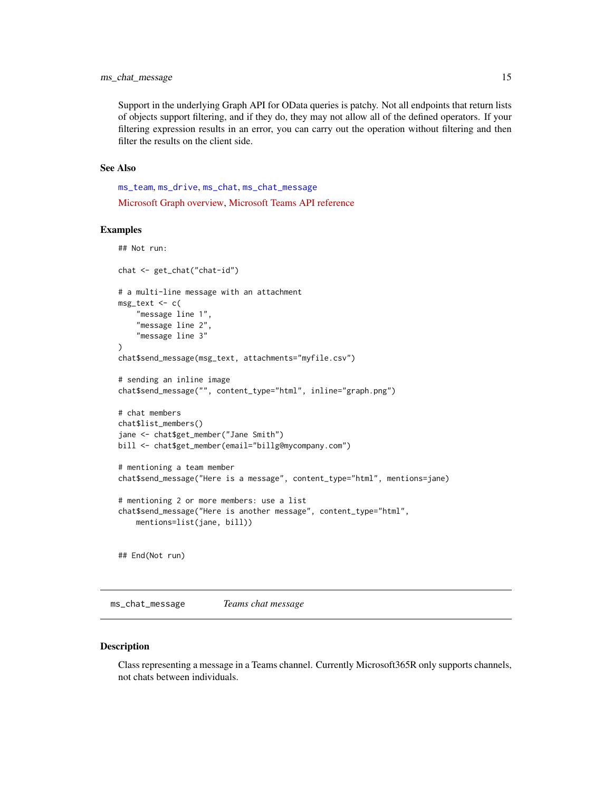<span id="page-14-0"></span>Support in the underlying Graph API for OData queries is patchy. Not all endpoints that return lists of objects support filtering, and if they do, they may not allow all of the defined operators. If your filtering expression results in an error, you can carry out the operation without filtering and then filter the results on the client side.

# See Also

[ms\\_team](#page-46-1), [ms\\_drive](#page-17-1), [ms\\_chat](#page-12-1), [ms\\_chat\\_message](#page-14-1) [Microsoft Graph overview,](https://docs.microsoft.com/en-us/graph/overview) [Microsoft Teams API reference](https://docs.microsoft.com/en-us/graph/api/resources/teams-api-overview?view=graph-rest-1.0)

# Examples

```
## Not run:
chat <- get_chat("chat-id")
# a multi-line message with an attachment
msg_text <- c(
    "message line 1",
    "message line 2",
    "message line 3"
)
chat$send_message(msg_text, attachments="myfile.csv")
# sending an inline image
chat$send_message("", content_type="html", inline="graph.png")
# chat members
chat$list_members()
jane <- chat$get_member("Jane Smith")
bill <- chat$get_member(email="billg@mycompany.com")
# mentioning a team member
chat$send_message("Here is a message", content_type="html", mentions=jane)
# mentioning 2 or more members: use a list
chat$send_message("Here is another message", content_type="html",
    mentions=list(jane, bill))
## End(Not run)
```
<span id="page-14-1"></span>ms\_chat\_message *Teams chat message*

#### Description

Class representing a message in a Teams channel. Currently Microsoft365R only supports channels, not chats between individuals.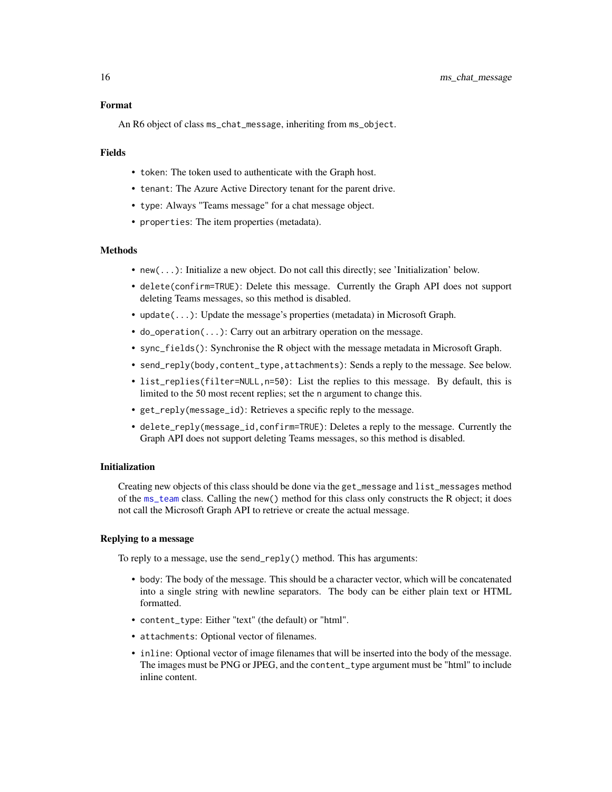# Format

An R6 object of class ms\_chat\_message, inheriting from ms\_object.

#### Fields

- token: The token used to authenticate with the Graph host.
- tenant: The Azure Active Directory tenant for the parent drive.
- type: Always "Teams message" for a chat message object.
- properties: The item properties (metadata).

#### **Methods**

- new(...): Initialize a new object. Do not call this directly; see 'Initialization' below.
- delete(confirm=TRUE): Delete this message. Currently the Graph API does not support deleting Teams messages, so this method is disabled.
- update(...): Update the message's properties (metadata) in Microsoft Graph.
- do\_operation(...): Carry out an arbitrary operation on the message.
- sync\_fields(): Synchronise the R object with the message metadata in Microsoft Graph.
- send\_reply(body,content\_type,attachments): Sends a reply to the message. See below.
- list\_replies(filter=NULL,n=50): List the replies to this message. By default, this is limited to the 50 most recent replies; set the n argument to change this.
- get\_reply(message\_id): Retrieves a specific reply to the message.
- delete\_reply(message\_id,confirm=TRUE): Deletes a reply to the message. Currently the Graph API does not support deleting Teams messages, so this method is disabled.

#### Initialization

Creating new objects of this class should be done via the get\_message and list\_messages method of the [ms\\_team](#page-46-1) class. Calling the new() method for this class only constructs the R object; it does not call the Microsoft Graph API to retrieve or create the actual message.

# Replying to a message

To reply to a message, use the send\_reply() method. This has arguments:

- body: The body of the message. This should be a character vector, which will be concatenated into a single string with newline separators. The body can be either plain text or HTML formatted.
- content\_type: Either "text" (the default) or "html".
- attachments: Optional vector of filenames.
- inline: Optional vector of image filenames that will be inserted into the body of the message. The images must be PNG or JPEG, and the content\_type argument must be "html" to include inline content.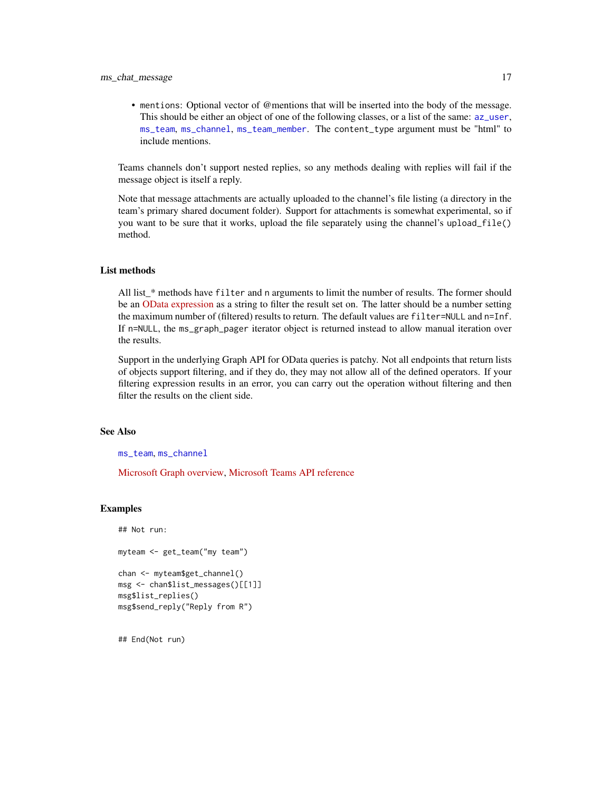<span id="page-16-0"></span>• mentions: Optional vector of @mentions that will be inserted into the body of the message. This should be either an object of one of the following classes, or a list of the same: [az\\_user](#page-0-0), [ms\\_team](#page-46-1), [ms\\_channel](#page-9-1), [ms\\_team\\_member](#page-48-1). The content\_type argument must be "html" to include mentions.

Teams channels don't support nested replies, so any methods dealing with replies will fail if the message object is itself a reply.

Note that message attachments are actually uploaded to the channel's file listing (a directory in the team's primary shared document folder). Support for attachments is somewhat experimental, so if you want to be sure that it works, upload the file separately using the channel's upload\_file() method.

# List methods

All list\_\* methods have filter and n arguments to limit the number of results. The former should be an [OData expression](https://docs.microsoft.com/en-us/graph/query-parameters#filter-parameter) as a string to filter the result set on. The latter should be a number setting the maximum number of (filtered) results to return. The default values are filter=NULL and n=Inf. If n=NULL, the ms\_graph\_pager iterator object is returned instead to allow manual iteration over the results.

Support in the underlying Graph API for OData queries is patchy. Not all endpoints that return lists of objects support filtering, and if they do, they may not allow all of the defined operators. If your filtering expression results in an error, you can carry out the operation without filtering and then filter the results on the client side.

# See Also

[ms\\_team](#page-46-1), [ms\\_channel](#page-9-1)

[Microsoft Graph overview,](https://docs.microsoft.com/en-us/graph/overview) [Microsoft Teams API reference](https://docs.microsoft.com/en-us/graph/api/resources/teams-api-overview?view=graph-rest-1.0)

#### Examples

```
## Not run:
myteam <- get_team("my team")
chan <- myteam$get_channel()
msg <- chan$list_messages()[[1]]
msg$list_replies()
msg$send_reply("Reply from R")
```
## End(Not run)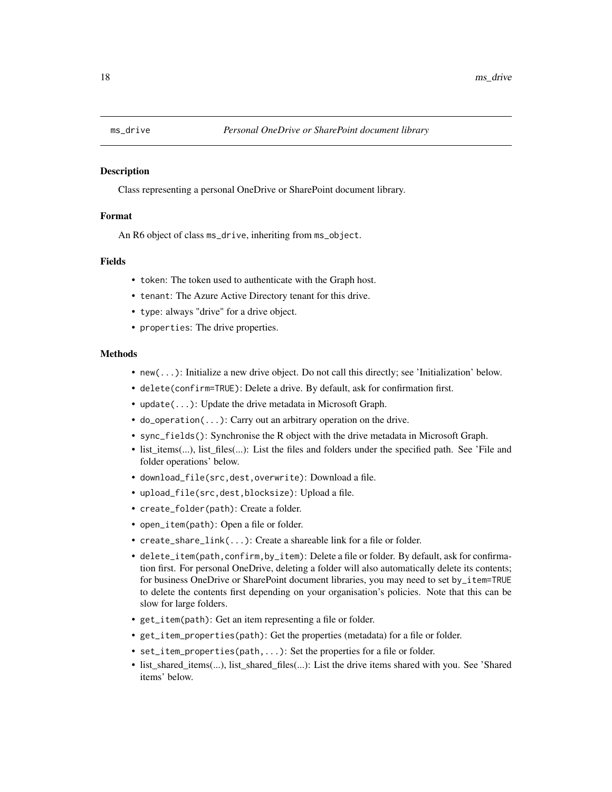<span id="page-17-1"></span><span id="page-17-0"></span>

# Description

Class representing a personal OneDrive or SharePoint document library.

#### Format

An R6 object of class ms\_drive, inheriting from ms\_object.

# Fields

- token: The token used to authenticate with the Graph host.
- tenant: The Azure Active Directory tenant for this drive.
- type: always "drive" for a drive object.
- properties: The drive properties.

#### Methods

- new(...): Initialize a new drive object. Do not call this directly; see 'Initialization' below.
- delete(confirm=TRUE): Delete a drive. By default, ask for confirmation first.
- update(...): Update the drive metadata in Microsoft Graph.
- do\_operation(...): Carry out an arbitrary operation on the drive.
- sync\_fields(): Synchronise the R object with the drive metadata in Microsoft Graph.
- list\_items(...), list\_files(...): List the files and folders under the specified path. See 'File and folder operations' below.
- download\_file(src,dest,overwrite): Download a file.
- upload\_file(src,dest,blocksize): Upload a file.
- create\_folder(path): Create a folder.
- open\_item(path): Open a file or folder.
- create\_share\_link(...): Create a shareable link for a file or folder.
- delete\_item(path,confirm,by\_item): Delete a file or folder. By default, ask for confirmation first. For personal OneDrive, deleting a folder will also automatically delete its contents; for business OneDrive or SharePoint document libraries, you may need to set by\_item=TRUE to delete the contents first depending on your organisation's policies. Note that this can be slow for large folders.
- get\_item(path): Get an item representing a file or folder.
- get\_item\_properties(path): Get the properties (metadata) for a file or folder.
- set\_item\_properties(path,...): Set the properties for a file or folder.
- list\_shared\_items(...), list\_shared\_files(...): List the drive items shared with you. See 'Shared items' below.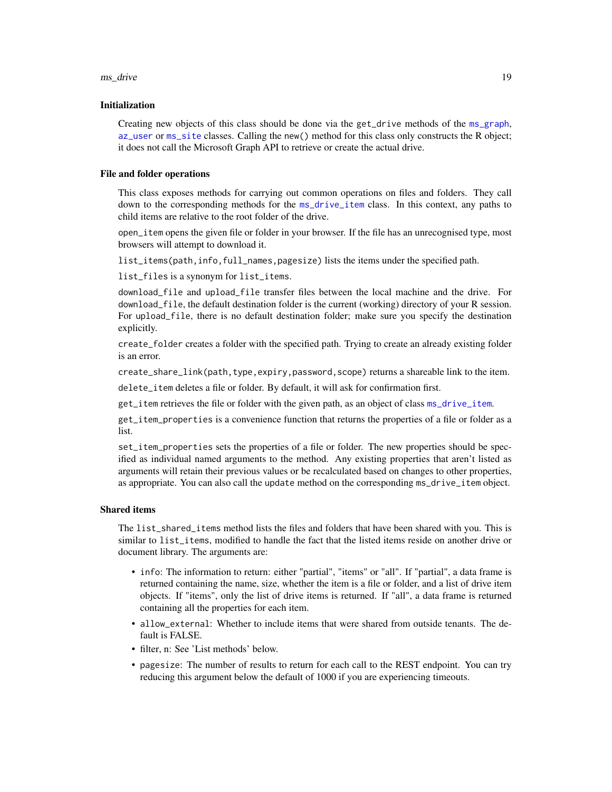#### <span id="page-18-0"></span>ms\_drive 19

# Initialization

Creating new objects of this class should be done via the get\_drive methods of the [ms\\_graph](#page-0-0), [az\\_user](#page-0-0) or [ms\\_site](#page-45-1) classes. Calling the new() method for this class only constructs the R object; it does not call the Microsoft Graph API to retrieve or create the actual drive.

#### File and folder operations

This class exposes methods for carrying out common operations on files and folders. They call down to the corresponding methods for the [ms\\_drive\\_item](#page-20-1) class. In this context, any paths to child items are relative to the root folder of the drive.

open\_item opens the given file or folder in your browser. If the file has an unrecognised type, most browsers will attempt to download it.

list\_items(path,info,full\_names,pagesize) lists the items under the specified path.

list\_files is a synonym for list\_items.

download\_file and upload\_file transfer files between the local machine and the drive. For download\_file, the default destination folder is the current (working) directory of your R session. For upload\_file, there is no default destination folder; make sure you specify the destination explicitly.

create\_folder creates a folder with the specified path. Trying to create an already existing folder is an error.

create\_share\_link(path,type,expiry,password,scope) returns a shareable link to the item.

delete\_item deletes a file or folder. By default, it will ask for confirmation first.

get\_item retrieves the file or folder with the given path, as an object of class [ms\\_drive\\_item](#page-20-1).

get\_item\_properties is a convenience function that returns the properties of a file or folder as a list.

set\_item\_properties sets the properties of a file or folder. The new properties should be specified as individual named arguments to the method. Any existing properties that aren't listed as arguments will retain their previous values or be recalculated based on changes to other properties, as appropriate. You can also call the update method on the corresponding ms\_drive\_item object.

#### Shared items

The list\_shared\_items method lists the files and folders that have been shared with you. This is similar to list\_items, modified to handle the fact that the listed items reside on another drive or document library. The arguments are:

- info: The information to return: either "partial", "items" or "all". If "partial", a data frame is returned containing the name, size, whether the item is a file or folder, and a list of drive item objects. If "items", only the list of drive items is returned. If "all", a data frame is returned containing all the properties for each item.
- allow\_external: Whether to include items that were shared from outside tenants. The default is FALSE.
- filter, n: See 'List methods' below.
- pagesize: The number of results to return for each call to the REST endpoint. You can try reducing this argument below the default of 1000 if you are experiencing timeouts.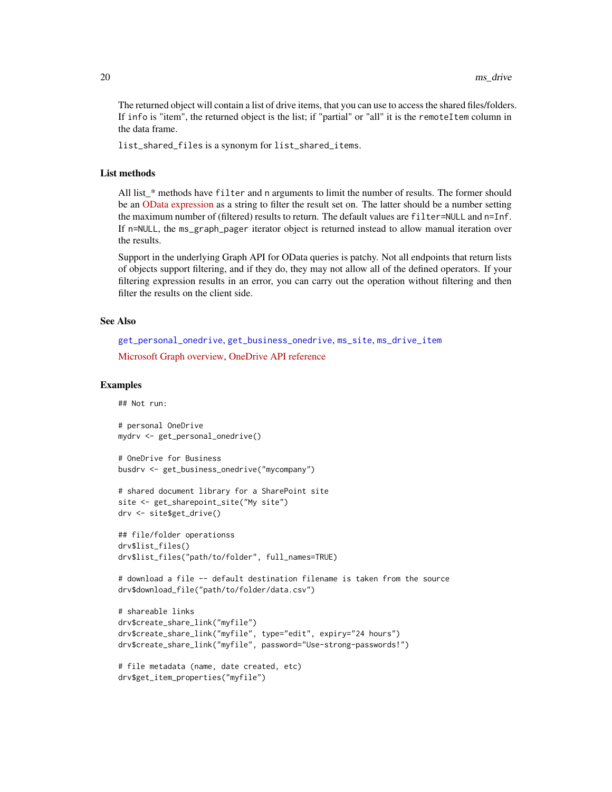<span id="page-19-0"></span>The returned object will contain a list of drive items, that you can use to access the shared files/folders. If info is "item", the returned object is the list; if "partial" or "all" it is the remoteItem column in the data frame.

list\_shared\_files is a synonym for list\_shared\_items.

#### List methods

All list\_\* methods have filter and n arguments to limit the number of results. The former should be an [OData expression](https://docs.microsoft.com/en-us/graph/query-parameters#filter-parameter) as a string to filter the result set on. The latter should be a number setting the maximum number of (filtered) results to return. The default values are filter=NULL and n=Inf. If n=NULL, the ms\_graph\_pager iterator object is returned instead to allow manual iteration over the results.

Support in the underlying Graph API for OData queries is patchy. Not all endpoints that return lists of objects support filtering, and if they do, they may not allow all of the defined operators. If your filtering expression results in an error, you can carry out the operation without filtering and then filter the results on the client side.

# See Also

```
get_personal_onedrive, get_business_onedrive, ms_site, ms_drive_item
```
[Microsoft Graph overview,](https://docs.microsoft.com/en-us/graph/overview) [OneDrive API reference](https://docs.microsoft.com/en-us/graph/api/resources/onedrive?view=graph-rest-1.0)

# Examples

## Not run:

```
# personal OneDrive
mydrv <- get_personal_onedrive()
```

```
# OneDrive for Business
busdrv <- get_business_onedrive("mycompany")
```

```
# shared document library for a SharePoint site
site <- get_sharepoint_site("My site")
drv <- site$get_drive()
```

```
## file/folder operationss
drv$list_files()
drv$list_files("path/to/folder", full_names=TRUE)
```

```
# download a file -- default destination filename is taken from the source
drv$download_file("path/to/folder/data.csv")
```

```
# shareable links
drv$create_share_link("myfile")
drv$create_share_link("myfile", type="edit", expiry="24 hours")
drv$create_share_link("myfile", password="Use-strong-passwords!")
```

```
# file metadata (name, date created, etc)
drv$get_item_properties("myfile")
```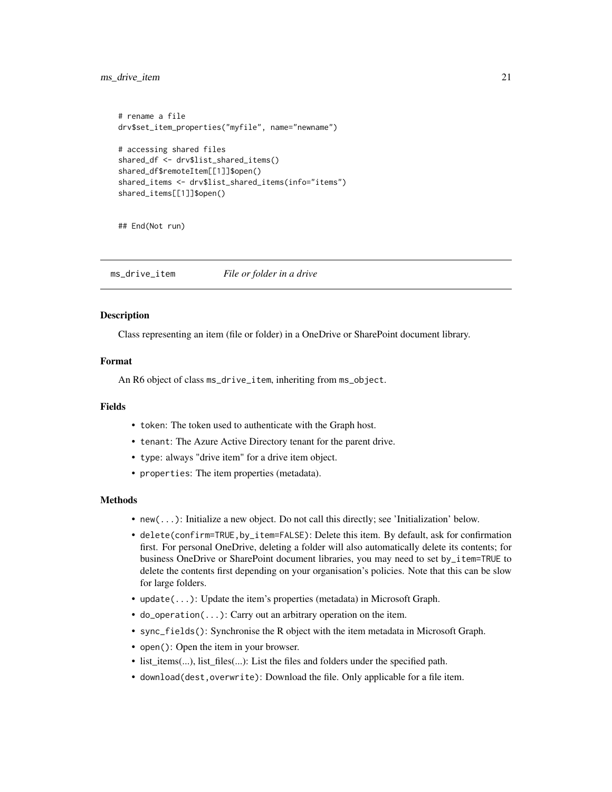<span id="page-20-0"></span>ms\_drive\_item 21

```
# rename a file
drv$set_item_properties("myfile", name="newname")
# accessing shared files
shared_df <- drv$list_shared_items()
shared_df$remoteItem[[1]]$open()
shared_items <- drv$list_shared_items(info="items")
shared_items[[1]]$open()
```
## End(Not run)

<span id="page-20-1"></span>ms\_drive\_item *File or folder in a drive*

#### **Description**

Class representing an item (file or folder) in a OneDrive or SharePoint document library.

#### Format

An R6 object of class ms\_drive\_item, inheriting from ms\_object.

# Fields

- token: The token used to authenticate with the Graph host.
- tenant: The Azure Active Directory tenant for the parent drive.
- type: always "drive item" for a drive item object.
- properties: The item properties (metadata).

# Methods

- new(...): Initialize a new object. Do not call this directly; see 'Initialization' below.
- delete(confirm=TRUE,by\_item=FALSE): Delete this item. By default, ask for confirmation first. For personal OneDrive, deleting a folder will also automatically delete its contents; for business OneDrive or SharePoint document libraries, you may need to set by\_item=TRUE to delete the contents first depending on your organisation's policies. Note that this can be slow for large folders.
- update(...): Update the item's properties (metadata) in Microsoft Graph.
- do\_operation(...): Carry out an arbitrary operation on the item.
- sync\_fields(): Synchronise the R object with the item metadata in Microsoft Graph.
- open(): Open the item in your browser.
- list\_items(...), list\_files(...): List the files and folders under the specified path.
- download(dest,overwrite): Download the file. Only applicable for a file item.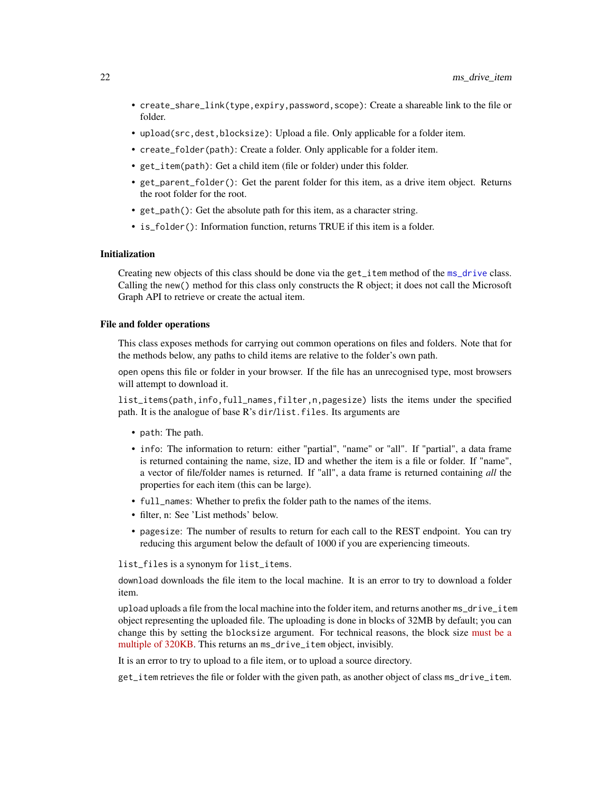- <span id="page-21-0"></span>• create\_share\_link(type,expiry,password,scope): Create a shareable link to the file or folder.
- upload(src,dest,blocksize): Upload a file. Only applicable for a folder item.
- create\_folder(path): Create a folder. Only applicable for a folder item.
- get\_item(path): Get a child item (file or folder) under this folder.
- get\_parent\_folder(): Get the parent folder for this item, as a drive item object. Returns the root folder for the root.
- get\_path(): Get the absolute path for this item, as a character string.
- is\_folder(): Information function, returns TRUE if this item is a folder.

# Initialization

Creating new objects of this class should be done via the get\_item method of the [ms\\_drive](#page-17-1) class. Calling the new() method for this class only constructs the R object; it does not call the Microsoft Graph API to retrieve or create the actual item.

#### File and folder operations

This class exposes methods for carrying out common operations on files and folders. Note that for the methods below, any paths to child items are relative to the folder's own path.

open opens this file or folder in your browser. If the file has an unrecognised type, most browsers will attempt to download it.

list\_items(path,info,full\_names,filter,n,pagesize) lists the items under the specified path. It is the analogue of base R's dir/list.files. Its arguments are

- path: The path.
- info: The information to return: either "partial", "name" or "all". If "partial", a data frame is returned containing the name, size, ID and whether the item is a file or folder. If "name", a vector of file/folder names is returned. If "all", a data frame is returned containing *all* the properties for each item (this can be large).
- full\_names: Whether to prefix the folder path to the names of the items.
- filter, n: See 'List methods' below.
- pagesize: The number of results to return for each call to the REST endpoint. You can try reducing this argument below the default of 1000 if you are experiencing timeouts.

list\_files is a synonym for list\_items.

download downloads the file item to the local machine. It is an error to try to download a folder item.

upload uploads a file from the local machine into the folder item, and returns another ms\_drive\_item object representing the uploaded file. The uploading is done in blocks of 32MB by default; you can change this by setting the blocksize argument. For technical reasons, the block size [must be a](https://docs.microsoft.com/en-us/graph/api/driveitem-createuploadsession?view=graph-rest-1.0#upload-bytes-to-the-upload-session) [multiple of 320KB.](https://docs.microsoft.com/en-us/graph/api/driveitem-createuploadsession?view=graph-rest-1.0#upload-bytes-to-the-upload-session) This returns an ms\_drive\_item object, invisibly.

It is an error to try to upload to a file item, or to upload a source directory.

get\_item retrieves the file or folder with the given path, as another object of class ms\_drive\_item.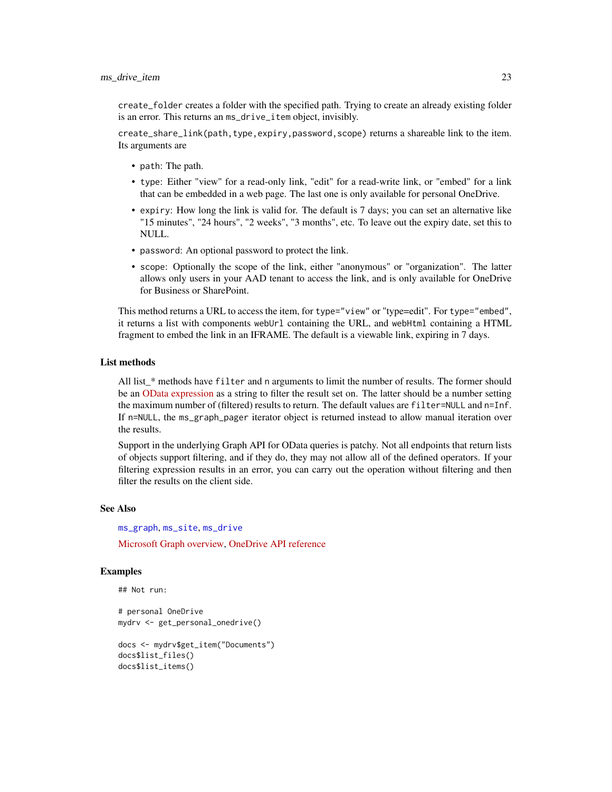<span id="page-22-0"></span>create\_folder creates a folder with the specified path. Trying to create an already existing folder is an error. This returns an ms\_drive\_item object, invisibly.

create\_share\_link(path,type,expiry,password,scope) returns a shareable link to the item. Its arguments are

- path: The path.
- type: Either "view" for a read-only link, "edit" for a read-write link, or "embed" for a link that can be embedded in a web page. The last one is only available for personal OneDrive.
- expiry: How long the link is valid for. The default is 7 days; you can set an alternative like "15 minutes", "24 hours", "2 weeks", "3 months", etc. To leave out the expiry date, set this to NULL.
- password: An optional password to protect the link.
- scope: Optionally the scope of the link, either "anonymous" or "organization". The latter allows only users in your AAD tenant to access the link, and is only available for OneDrive for Business or SharePoint.

This method returns a URL to access the item, for type="view" or "type=edit". For type="embed", it returns a list with components webUrl containing the URL, and webHtml containing a HTML fragment to embed the link in an IFRAME. The default is a viewable link, expiring in 7 days.

# List methods

All list \* methods have filter and n arguments to limit the number of results. The former should be an [OData expression](https://docs.microsoft.com/en-us/graph/query-parameters#filter-parameter) as a string to filter the result set on. The latter should be a number setting the maximum number of (filtered) results to return. The default values are filter=NULL and n=Inf. If n=NULL, the ms\_graph\_pager iterator object is returned instead to allow manual iteration over the results.

Support in the underlying Graph API for OData queries is patchy. Not all endpoints that return lists of objects support filtering, and if they do, they may not allow all of the defined operators. If your filtering expression results in an error, you can carry out the operation without filtering and then filter the results on the client side.

#### See Also

[ms\\_graph](#page-0-0), [ms\\_site](#page-45-1), [ms\\_drive](#page-17-1)

[Microsoft Graph overview,](https://docs.microsoft.com/en-us/graph/overview) [OneDrive API reference](https://docs.microsoft.com/en-us/graph/api/resources/onedrive?view=graph-rest-1.0)

#### Examples

```
## Not run:
```
# personal OneDrive mydrv <- get\_personal\_onedrive()

```
docs <- mydrv$get_item("Documents")
docs$list_files()
docs$list_items()
```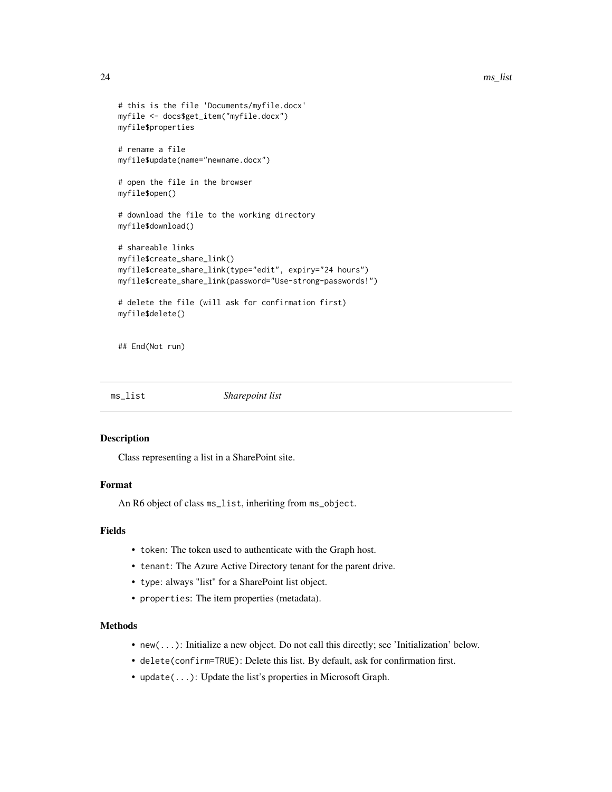```
# this is the file 'Documents/myfile.docx'
myfile <- docs$get_item("myfile.docx")
myfile$properties
# rename a file
myfile$update(name="newname.docx")
# open the file in the browser
myfile$open()
# download the file to the working directory
myfile$download()
# shareable links
myfile$create_share_link()
myfile$create_share_link(type="edit", expiry="24 hours")
myfile$create_share_link(password="Use-strong-passwords!")
# delete the file (will ask for confirmation first)
myfile$delete()
```
## End(Not run)

<span id="page-23-1"></span>ms\_list *Sharepoint list*

#### Description

Class representing a list in a SharePoint site.

# Format

An R6 object of class ms\_list, inheriting from ms\_object.

# Fields

- token: The token used to authenticate with the Graph host.
- tenant: The Azure Active Directory tenant for the parent drive.
- type: always "list" for a SharePoint list object.
- properties: The item properties (metadata).

# Methods

- new(...): Initialize a new object. Do not call this directly; see 'Initialization' below.
- delete(confirm=TRUE): Delete this list. By default, ask for confirmation first.
- update(...): Update the list's properties in Microsoft Graph.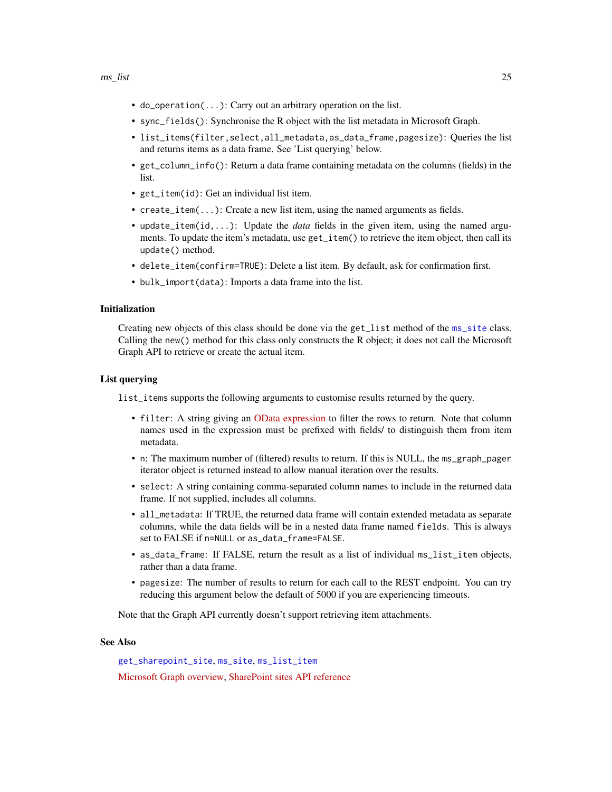- <span id="page-24-0"></span>• do\_operation(...): Carry out an arbitrary operation on the list.
- sync\_fields(): Synchronise the R object with the list metadata in Microsoft Graph.
- list\_items(filter,select,all\_metadata,as\_data\_frame,pagesize): Queries the list and returns items as a data frame. See 'List querying' below.
- get\_column\_info(): Return a data frame containing metadata on the columns (fields) in the list.
- get\_item(id): Get an individual list item.
- create\_item(...): Create a new list item, using the named arguments as fields.
- update\_item(id,...): Update the *data* fields in the given item, using the named arguments. To update the item's metadata, use get\_item() to retrieve the item object, then call its update() method.
- delete\_item(confirm=TRUE): Delete a list item. By default, ask for confirmation first.
- bulk\_import(data): Imports a data frame into the list.

#### Initialization

Creating new objects of this class should be done via the get\_list method of the [ms\\_site](#page-45-1) class. Calling the new() method for this class only constructs the R object; it does not call the Microsoft Graph API to retrieve or create the actual item.

#### List querying

list\_items supports the following arguments to customise results returned by the query.

- filter: A string giving an [OData expression](https://docs.microsoft.com/en-us/graph/query-parameters#filter-parameter) to filter the rows to return. Note that column names used in the expression must be prefixed with fields/ to distinguish them from item metadata.
- n: The maximum number of (filtered) results to return. If this is NULL, the ms\_graph\_pager iterator object is returned instead to allow manual iteration over the results.
- select: A string containing comma-separated column names to include in the returned data frame. If not supplied, includes all columns.
- all\_metadata: If TRUE, the returned data frame will contain extended metadata as separate columns, while the data fields will be in a nested data frame named fields. This is always set to FALSE if n=NULL or as\_data\_frame=FALSE.
- as\_data\_frame: If FALSE, return the result as a list of individual ms\_list\_item objects, rather than a data frame.
- pagesize: The number of results to return for each call to the REST endpoint. You can try reducing this argument below the default of 5000 if you are experiencing timeouts.

Note that the Graph API currently doesn't support retrieving item attachments.

# See Also

[get\\_sharepoint\\_site](#page-4-2), [ms\\_site](#page-45-1), [ms\\_list\\_item](#page-25-1) [Microsoft Graph overview,](https://docs.microsoft.com/en-us/graph/overview) [SharePoint sites API reference](https://docs.microsoft.com/en-us/graph/api/resources/sharepoint?view=graph-rest-1.0)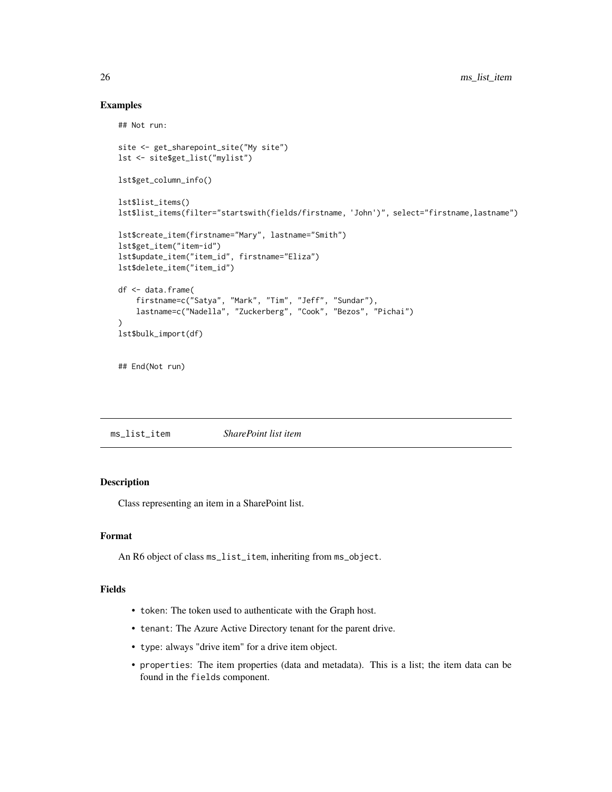# Examples

```
## Not run:
site <- get_sharepoint_site("My site")
lst <- site$get_list("mylist")
lst$get_column_info()
lst$list_items()
lst$list_items(filter="startswith(fields/firstname, 'John')", select="firstname,lastname")
lst$create_item(firstname="Mary", lastname="Smith")
lst$get_item("item-id")
lst$update_item("item_id", firstname="Eliza")
lst$delete_item("item_id")
df <- data.frame(
    firstname=c("Satya", "Mark", "Tim", "Jeff", "Sundar"),
    lastname=c("Nadella", "Zuckerberg", "Cook", "Bezos", "Pichai")
)
lst$bulk_import(df)
## End(Not run)
```
<span id="page-25-1"></span>ms\_list\_item *SharePoint list item*

# Description

Class representing an item in a SharePoint list.

#### Format

An R6 object of class ms\_list\_item, inheriting from ms\_object.

# Fields

- token: The token used to authenticate with the Graph host.
- tenant: The Azure Active Directory tenant for the parent drive.
- type: always "drive item" for a drive item object.
- properties: The item properties (data and metadata). This is a list; the item data can be found in the fields component.

<span id="page-25-0"></span>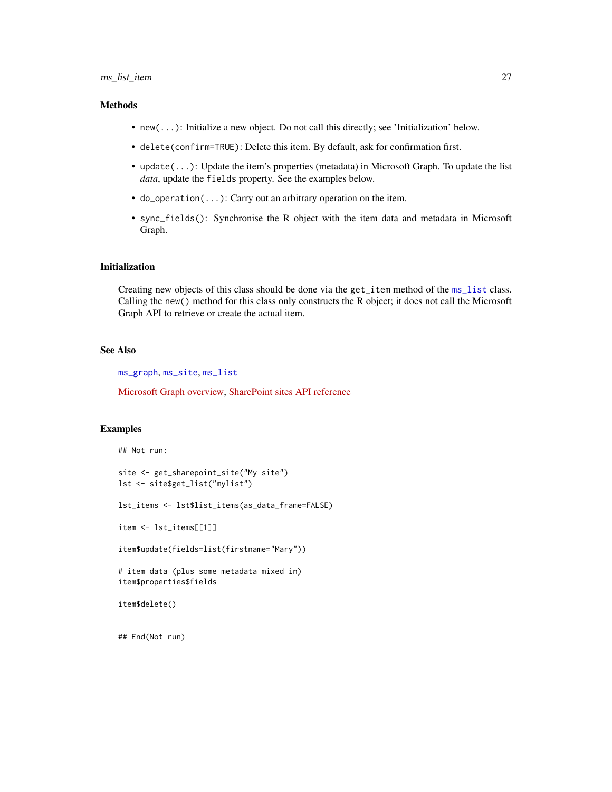# <span id="page-26-0"></span>ms\_list\_item 27

# Methods

- new(...): Initialize a new object. Do not call this directly; see 'Initialization' below.
- delete(confirm=TRUE): Delete this item. By default, ask for confirmation first.
- update(...): Update the item's properties (metadata) in Microsoft Graph. To update the list *data*, update the fields property. See the examples below.
- do\_operation(...): Carry out an arbitrary operation on the item.
- sync\_fields(): Synchronise the R object with the item data and metadata in Microsoft Graph.

# Initialization

Creating new objects of this class should be done via the get\_item method of the [ms\\_list](#page-23-1) class. Calling the new() method for this class only constructs the R object; it does not call the Microsoft Graph API to retrieve or create the actual item.

# See Also

[ms\\_graph](#page-0-0), [ms\\_site](#page-45-1), [ms\\_list](#page-23-1)

[Microsoft Graph overview,](https://docs.microsoft.com/en-us/graph/overview) [SharePoint sites API reference](https://docs.microsoft.com/en-us/graph/api/resources/sharepoint?view=graph-rest-1.0)

# Examples

```
## Not run:
site <- get_sharepoint_site("My site")
lst <- site$get_list("mylist")
lst_items <- lst$list_items(as_data_frame=FALSE)
item <- lst_items[[1]]
item$update(fields=list(firstname="Mary"))
# item data (plus some metadata mixed in)
item$properties$fields
item$delete()
```
## End(Not run)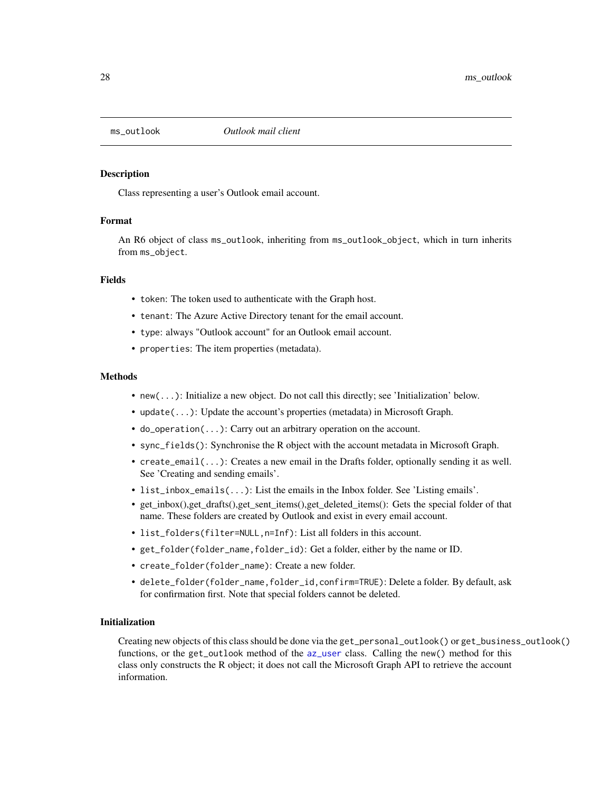<span id="page-27-1"></span><span id="page-27-0"></span>

# **Description**

Class representing a user's Outlook email account.

# Format

An R6 object of class ms\_outlook, inheriting from ms\_outlook\_object, which in turn inherits from ms\_object.

# Fields

- token: The token used to authenticate with the Graph host.
- tenant: The Azure Active Directory tenant for the email account.
- type: always "Outlook account" for an Outlook email account.
- properties: The item properties (metadata).

#### Methods

- new(...): Initialize a new object. Do not call this directly; see 'Initialization' below.
- update(...): Update the account's properties (metadata) in Microsoft Graph.
- do\_operation(...): Carry out an arbitrary operation on the account.
- sync\_fields(): Synchronise the R object with the account metadata in Microsoft Graph.
- create\_email(...): Creates a new email in the Drafts folder, optionally sending it as well. See 'Creating and sending emails'.
- list\_inbox\_emails(...): List the emails in the Inbox folder. See 'Listing emails'.
- get\_inbox(),get\_drafts(),get\_sent\_items(),get\_deleted\_items(): Gets the special folder of that name. These folders are created by Outlook and exist in every email account.
- list\_folders(filter=NULL,n=Inf): List all folders in this account.
- get\_folder(folder\_name,folder\_id): Get a folder, either by the name or ID.
- create\_folder(folder\_name): Create a new folder.
- delete\_folder(folder\_name,folder\_id,confirm=TRUE): Delete a folder. By default, ask for confirmation first. Note that special folders cannot be deleted.

#### Initialization

Creating new objects of this class should be done via the get\_personal\_outlook() or get\_business\_outlook() functions, or the get\_outlook method of the [az\\_user](#page-0-0) class. Calling the new() method for this class only constructs the R object; it does not call the Microsoft Graph API to retrieve the account information.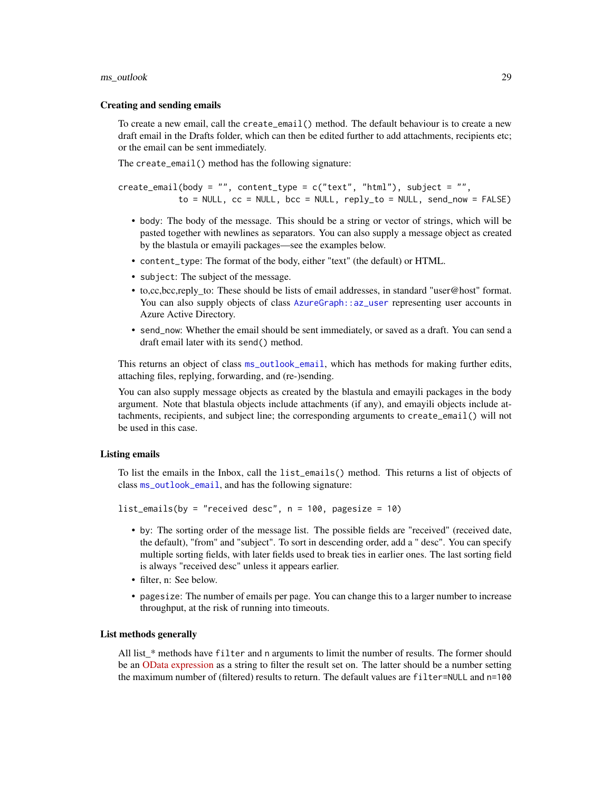#### <span id="page-28-0"></span>ms\_outlook 29

#### Creating and sending emails

To create a new email, call the create\_email() method. The default behaviour is to create a new draft email in the Drafts folder, which can then be edited further to add attachments, recipients etc; or the email can be sent immediately.

The create\_email() method has the following signature:

 $createst\_email(body = "", content_type = c("text", "html"), subject = "",$  $to$  = NULL,  $cc$  = NULL,  $bcc$  = NULL,  $reply_to$  = NULL,  $send_new$  = FALSE)

- body: The body of the message. This should be a string or vector of strings, which will be pasted together with newlines as separators. You can also supply a message object as created by the blastula or emayili packages—see the examples below.
- content\_type: The format of the body, either "text" (the default) or HTML.
- subject: The subject of the message.
- to,cc,bcc,reply\_to: These should be lists of email addresses, in standard "user@host" format. You can also supply objects of class [AzureGraph::az\\_user](#page-0-0) representing user accounts in Azure Active Directory.
- send\_now: Whether the email should be sent immediately, or saved as a draft. You can send a draft email later with its send() method.

This returns an object of class [ms\\_outlook\\_email](#page-32-1), which has methods for making further edits, attaching files, replying, forwarding, and (re-)sending.

You can also supply message objects as created by the blastula and emayili packages in the body argument. Note that blastula objects include attachments (if any), and emayili objects include attachments, recipients, and subject line; the corresponding arguments to create\_email() will not be used in this case.

# Listing emails

To list the emails in the Inbox, call the list\_emails() method. This returns a list of objects of class [ms\\_outlook\\_email](#page-32-1), and has the following signature:

```
list_emails(by = "received desc", n = 100, pagesize = 10)
```
- by: The sorting order of the message list. The possible fields are "received" (received date, the default), "from" and "subject". To sort in descending order, add a " desc". You can specify multiple sorting fields, with later fields used to break ties in earlier ones. The last sorting field is always "received desc" unless it appears earlier.
- filter, n: See below.
- pagesize: The number of emails per page. You can change this to a larger number to increase throughput, at the risk of running into timeouts.

#### List methods generally

All list\_\* methods have filter and n arguments to limit the number of results. The former should be an [OData expression](https://docs.microsoft.com/en-us/graph/query-parameters#filter-parameter) as a string to filter the result set on. The latter should be a number setting the maximum number of (filtered) results to return. The default values are filter=NULL and n=100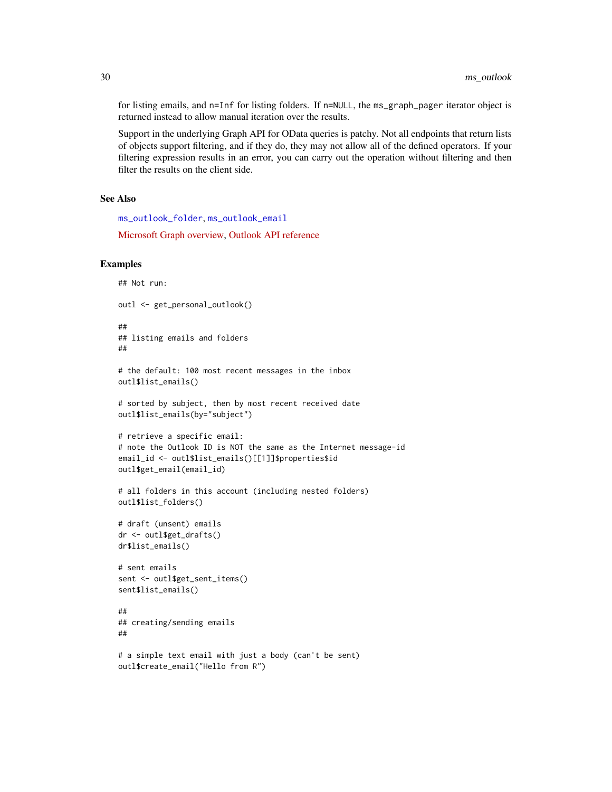for listing emails, and n=Inf for listing folders. If n=NULL, the ms\_graph\_pager iterator object is returned instead to allow manual iteration over the results.

Support in the underlying Graph API for OData queries is patchy. Not all endpoints that return lists of objects support filtering, and if they do, they may not allow all of the defined operators. If your filtering expression results in an error, you can carry out the operation without filtering and then filter the results on the client side.

# See Also

[ms\\_outlook\\_folder](#page-37-1), [ms\\_outlook\\_email](#page-32-1)

[Microsoft Graph overview,](https://docs.microsoft.com/en-us/graph/overview) [Outlook API reference](https://docs.microsoft.com/en-us/graph/api/resources/mail-api-overview?view=graph-rest-1.0)

# Examples

```
## Not run:
outl <- get_personal_outlook()
##
## listing emails and folders
##
# the default: 100 most recent messages in the inbox
outl$list_emails()
# sorted by subject, then by most recent received date
outl$list_emails(by="subject")
# retrieve a specific email:
# note the Outlook ID is NOT the same as the Internet message-id
email_id <- outl$list_emails()[[1]]$properties$id
outl$get_email(email_id)
# all folders in this account (including nested folders)
outl$list_folders()
# draft (unsent) emails
dr <- outl$get_drafts()
dr$list_emails()
# sent emails
sent <- outl$get_sent_items()
sent$list_emails()
##
## creating/sending emails
##
# a simple text email with just a body (can't be sent)
outl$create_email("Hello from R")
```
<span id="page-29-0"></span>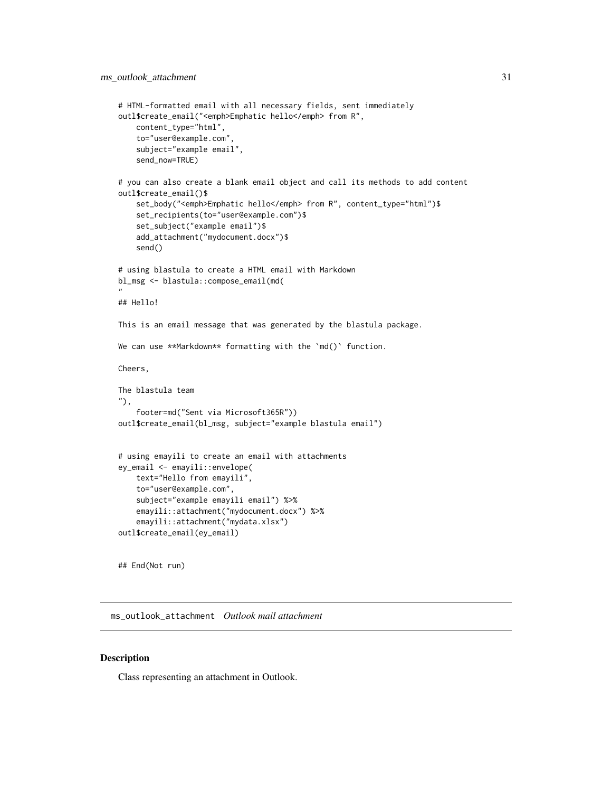```
# HTML-formatted email with all necessary fields, sent immediately
outl$create_email("<emph>Emphatic hello</emph> from R",
    content_type="html",
    to="user@example.com",
    subject="example email",
    send_now=TRUE)
# you can also create a blank email object and call its methods to add content
outl$create_email()$
    set_body("<emph>Emphatic hello</emph> from R", content_type="html")$
    set_recipients(to="user@example.com")$
    set_subject("example email")$
    add_attachment("mydocument.docx")$
    send()
# using blastula to create a HTML email with Markdown
bl_msg <- blastula::compose_email(md(
"
## Hello!
This is an email message that was generated by the blastula package.
We can use **Markdown** formatting with the 'md()' function.
Cheers,
The blastula team
"),
    footer=md("Sent via Microsoft365R"))
outl$create_email(bl_msg, subject="example blastula email")
# using emayili to create an email with attachments
ey_email <- emayili::envelope(
    text="Hello from emayili",
    to="user@example.com",
    subject="example emayili email") %>%
    emayili::attachment("mydocument.docx") %>%
    emayili::attachment("mydata.xlsx")
outl$create_email(ey_email)
```
## End(Not run)

<span id="page-30-1"></span>ms\_outlook\_attachment *Outlook mail attachment*

# Description

Class representing an attachment in Outlook.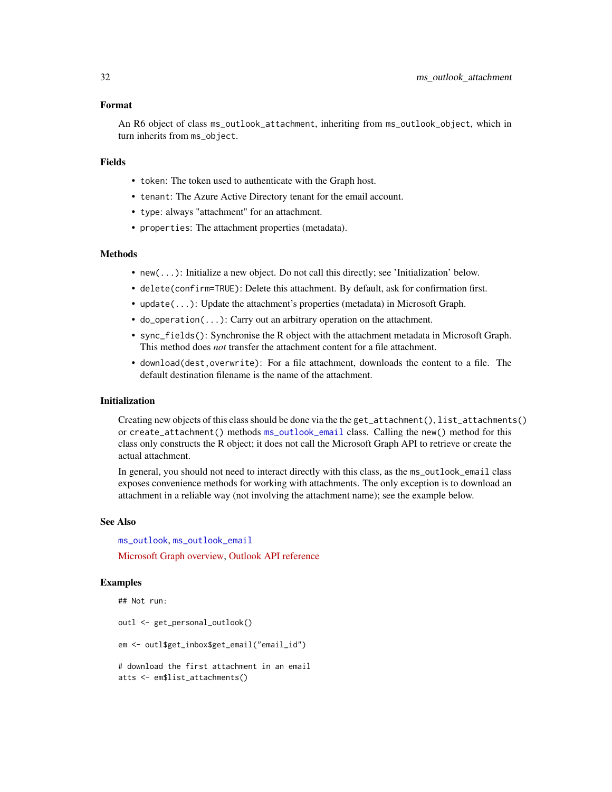#### <span id="page-31-0"></span>Format

An R6 object of class ms\_outlook\_attachment, inheriting from ms\_outlook\_object, which in turn inherits from ms\_object.

# Fields

- token: The token used to authenticate with the Graph host.
- tenant: The Azure Active Directory tenant for the email account.
- type: always "attachment" for an attachment.
- properties: The attachment properties (metadata).

# Methods

- new(...): Initialize a new object. Do not call this directly; see 'Initialization' below.
- delete(confirm=TRUE): Delete this attachment. By default, ask for confirmation first.
- update(...): Update the attachment's properties (metadata) in Microsoft Graph.
- do\_operation(...): Carry out an arbitrary operation on the attachment.
- sync\_fields(): Synchronise the R object with the attachment metadata in Microsoft Graph. This method does *not* transfer the attachment content for a file attachment.
- download(dest,overwrite): For a file attachment, downloads the content to a file. The default destination filename is the name of the attachment.

# Initialization

Creating new objects of this class should be done via the the get\_attachment(), list\_attachments() or create\_attachment() methods [ms\\_outlook\\_email](#page-32-1) class. Calling the new() method for this class only constructs the R object; it does not call the Microsoft Graph API to retrieve or create the actual attachment.

In general, you should not need to interact directly with this class, as the ms\_outlook\_email class exposes convenience methods for working with attachments. The only exception is to download an attachment in a reliable way (not involving the attachment name); see the example below.

#### See Also

[ms\\_outlook](#page-27-1), [ms\\_outlook\\_email](#page-32-1)

[Microsoft Graph overview,](https://docs.microsoft.com/en-us/graph/overview) [Outlook API reference](https://docs.microsoft.com/en-us/graph/api/resources/mail-api-overview?view=graph-rest-1.0)

# Examples

```
## Not run:
outl <- get_personal_outlook()
em <- outl$get_inbox$get_email("email_id")
# download the first attachment in an email
atts <- em$list_attachments()
```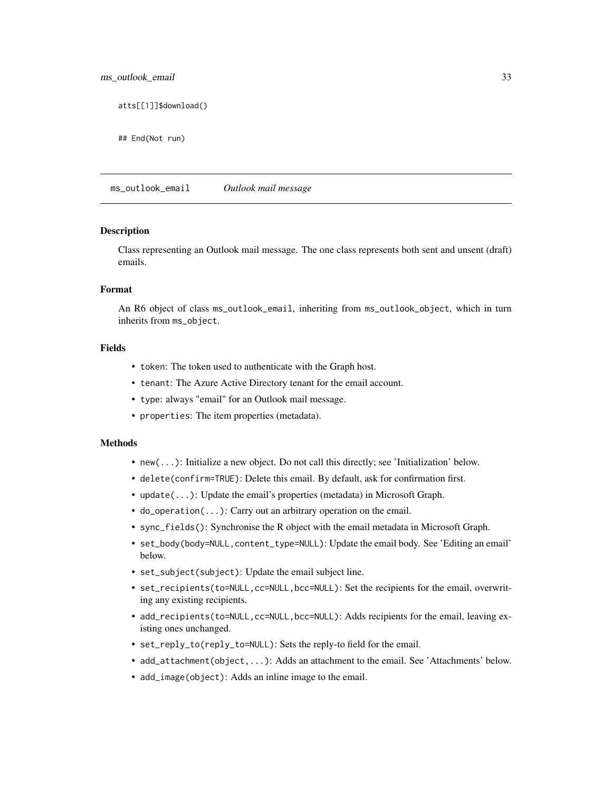<span id="page-32-0"></span>atts[[1]]\$download()

## End(Not run)

<span id="page-32-1"></span>ms\_outlook\_email *Outlook mail message*

#### Description

Class representing an Outlook mail message. The one class represents both sent and unsent (draft) emails.

# Format

An R6 object of class ms\_outlook\_email, inheriting from ms\_outlook\_object, which in turn inherits from ms\_object.

# Fields

- token: The token used to authenticate with the Graph host.
- tenant: The Azure Active Directory tenant for the email account.
- type: always "email" for an Outlook mail message.
- properties: The item properties (metadata).

#### Methods

- new(...): Initialize a new object. Do not call this directly; see 'Initialization' below.
- delete(confirm=TRUE): Delete this email. By default, ask for confirmation first.
- update(...): Update the email's properties (metadata) in Microsoft Graph.
- do\_operation(...): Carry out an arbitrary operation on the email.
- sync\_fields(): Synchronise the R object with the email metadata in Microsoft Graph.
- set\_body(body=NULL, content\_type=NULL): Update the email body. See 'Editing an email' below.
- set\_subject(subject): Update the email subject line.
- set\_recipients(to=NULL,cc=NULL,bcc=NULL): Set the recipients for the email, overwriting any existing recipients.
- add\_recipients(to=NULL,cc=NULL,bcc=NULL): Adds recipients for the email, leaving existing ones unchanged.
- set\_reply\_to(reply\_to=NULL): Sets the reply-to field for the email.
- add\_attachment(object,...): Adds an attachment to the email. See 'Attachments' below.
- add\_image(object): Adds an inline image to the email.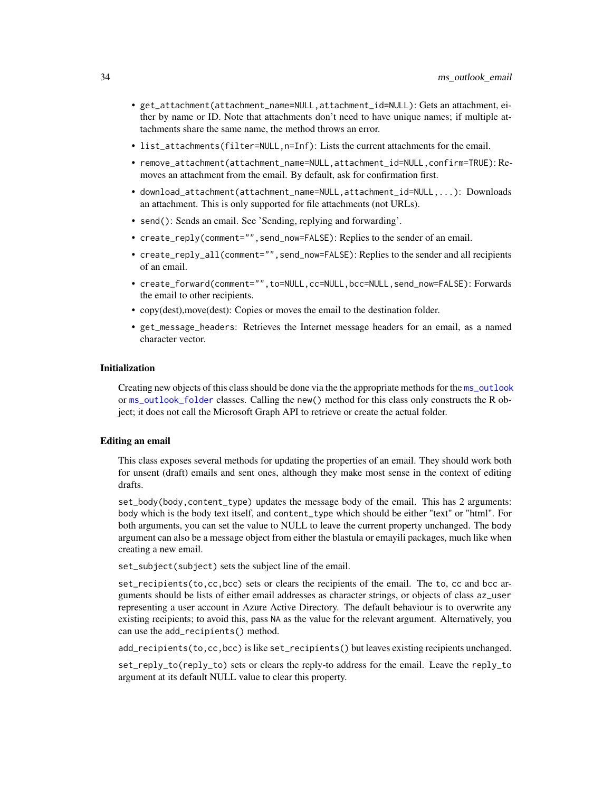- <span id="page-33-0"></span>• get\_attachment(attachment\_name=NULL,attachment\_id=NULL): Gets an attachment, either by name or ID. Note that attachments don't need to have unique names; if multiple attachments share the same name, the method throws an error.
- list\_attachments(filter=NULL,n=Inf): Lists the current attachments for the email.
- remove\_attachment(attachment\_name=NULL,attachment\_id=NULL,confirm=TRUE): Removes an attachment from the email. By default, ask for confirmation first.
- download\_attachment(attachment\_name=NULL,attachment\_id=NULL,...): Downloads an attachment. This is only supported for file attachments (not URLs).
- send(): Sends an email. See 'Sending, replying and forwarding'.
- create\_reply(comment="", send\_now=FALSE): Replies to the sender of an email.
- create\_reply\_all(comment="",send\_now=FALSE): Replies to the sender and all recipients of an email.
- create\_forward(comment="",to=NULL,cc=NULL,bcc=NULL,send\_now=FALSE): Forwards the email to other recipients.
- copy(dest),move(dest): Copies or moves the email to the destination folder.
- get\_message\_headers: Retrieves the Internet message headers for an email, as a named character vector.

# Initialization

Creating new objects of this class should be done via the the appropriate methods for the [ms\\_outlook](#page-27-1) or [ms\\_outlook\\_folder](#page-37-1) classes. Calling the new() method for this class only constructs the R object; it does not call the Microsoft Graph API to retrieve or create the actual folder.

#### Editing an email

This class exposes several methods for updating the properties of an email. They should work both for unsent (draft) emails and sent ones, although they make most sense in the context of editing drafts.

set\_body(body,content\_type) updates the message body of the email. This has 2 arguments: body which is the body text itself, and content\_type which should be either "text" or "html". For both arguments, you can set the value to NULL to leave the current property unchanged. The body argument can also be a message object from either the blastula or emayili packages, much like when creating a new email.

set\_subject(subject) sets the subject line of the email.

set\_recipients(to,cc,bcc) sets or clears the recipients of the email. The to, cc and bcc arguments should be lists of either email addresses as character strings, or objects of class az\_user representing a user account in Azure Active Directory. The default behaviour is to overwrite any existing recipients; to avoid this, pass NA as the value for the relevant argument. Alternatively, you can use the add\_recipients() method.

add\_recipients(to,cc,bcc) is like set\_recipients() but leaves existing recipients unchanged.

set\_reply\_to(reply\_to) sets or clears the reply-to address for the email. Leave the reply\_to argument at its default NULL value to clear this property.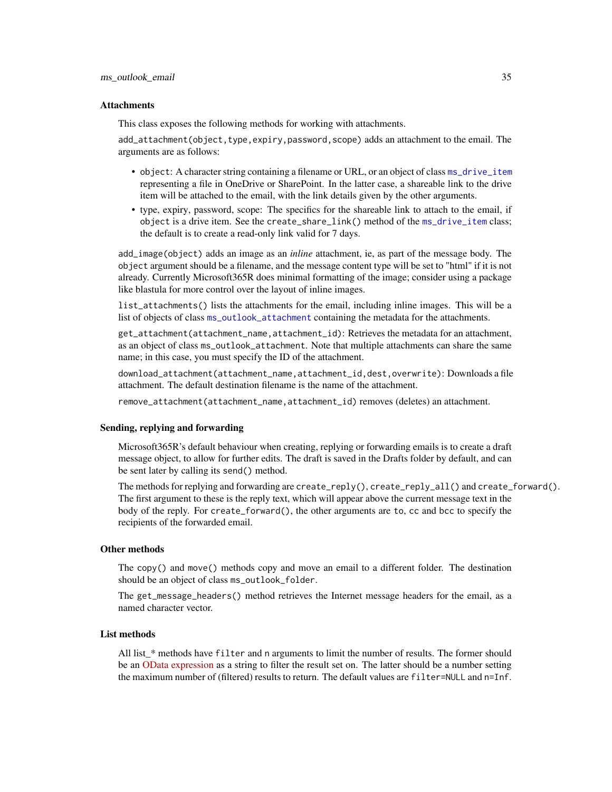#### <span id="page-34-0"></span>**Attachments**

This class exposes the following methods for working with attachments.

add\_attachment(object,type,expiry,password,scope) adds an attachment to the email. The arguments are as follows:

- object: A character string containing a filename or URL, or an object of class [ms\\_drive\\_item](#page-20-1) representing a file in OneDrive or SharePoint. In the latter case, a shareable link to the drive item will be attached to the email, with the link details given by the other arguments.
- type, expiry, password, scope: The specifics for the shareable link to attach to the email, if object is a drive item. See the create\_share\_link() method of the [ms\\_drive\\_item](#page-20-1) class; the default is to create a read-only link valid for 7 days.

add\_image(object) adds an image as an *inline* attachment, ie, as part of the message body. The object argument should be a filename, and the message content type will be set to "html" if it is not already. Currently Microsoft365R does minimal formatting of the image; consider using a package like blastula for more control over the layout of inline images.

list\_attachments() lists the attachments for the email, including inline images. This will be a list of objects of class [ms\\_outlook\\_attachment](#page-30-1) containing the metadata for the attachments.

get\_attachment(attachment\_name,attachment\_id): Retrieves the metadata for an attachment, as an object of class ms\_outlook\_attachment. Note that multiple attachments can share the same name; in this case, you must specify the ID of the attachment.

download\_attachment(attachment\_name,attachment\_id,dest,overwrite): Downloads a file attachment. The default destination filename is the name of the attachment.

remove\_attachment(attachment\_name,attachment\_id) removes (deletes) an attachment.

# Sending, replying and forwarding

Microsoft365R's default behaviour when creating, replying or forwarding emails is to create a draft message object, to allow for further edits. The draft is saved in the Drafts folder by default, and can be sent later by calling its send() method.

The methods for replying and forwarding are create\_reply(), create\_reply\_all() and create\_forward(). The first argument to these is the reply text, which will appear above the current message text in the body of the reply. For create\_forward(), the other arguments are to, cc and bcc to specify the recipients of the forwarded email.

#### Other methods

The copy() and move() methods copy and move an email to a different folder. The destination should be an object of class ms\_outlook\_folder.

The get\_message\_headers() method retrieves the Internet message headers for the email, as a named character vector.

# List methods

All list\_\* methods have filter and n arguments to limit the number of results. The former should be an [OData expression](https://docs.microsoft.com/en-us/graph/query-parameters#filter-parameter) as a string to filter the result set on. The latter should be a number setting the maximum number of (filtered) results to return. The default values are filter=NULL and n=Inf.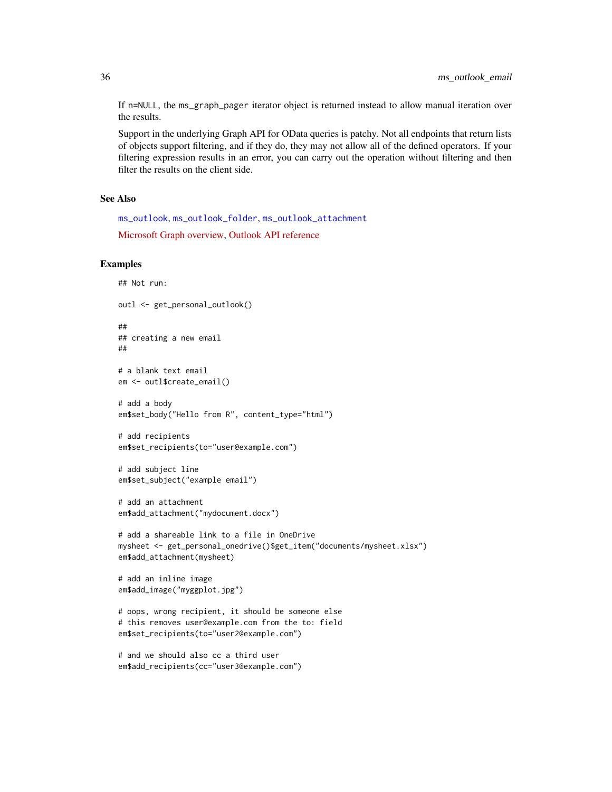<span id="page-35-0"></span>If n=NULL, the ms\_graph\_pager iterator object is returned instead to allow manual iteration over the results.

Support in the underlying Graph API for OData queries is patchy. Not all endpoints that return lists of objects support filtering, and if they do, they may not allow all of the defined operators. If your filtering expression results in an error, you can carry out the operation without filtering and then filter the results on the client side.

# See Also

[ms\\_outlook](#page-27-1), [ms\\_outlook\\_folder](#page-37-1), [ms\\_outlook\\_attachment](#page-30-1)

[Microsoft Graph overview,](https://docs.microsoft.com/en-us/graph/overview) [Outlook API reference](https://docs.microsoft.com/en-us/graph/api/resources/mail-api-overview?view=graph-rest-1.0)

# Examples

```
## Not run:
outl <- get_personal_outlook()
##
## creating a new email
##
# a blank text email
em <- outl$create_email()
# add a body
em$set_body("Hello from R", content_type="html")
# add recipients
em$set_recipients(to="user@example.com")
# add subject line
em$set_subject("example email")
# add an attachment
em$add_attachment("mydocument.docx")
# add a shareable link to a file in OneDrive
mysheet <- get_personal_onedrive()$get_item("documents/mysheet.xlsx")
em$add_attachment(mysheet)
# add an inline image
em$add_image("myggplot.jpg")
# oops, wrong recipient, it should be someone else
# this removes user@example.com from the to: field
em$set_recipients(to="user2@example.com")
# and we should also cc a third user
```

```
em$add_recipients(cc="user3@example.com")
```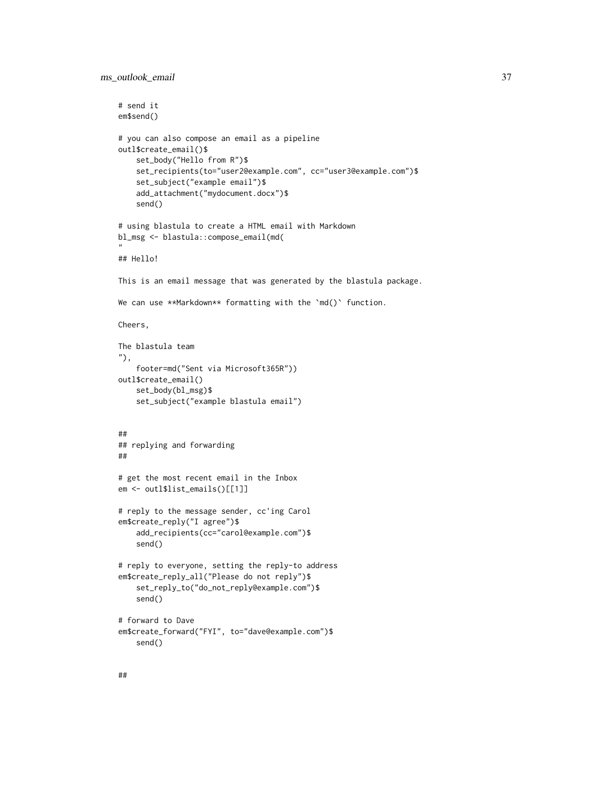```
# send it
em$send()
# you can also compose an email as a pipeline
outl$create_email()$
   set_body("Hello from R")$
    set_recipients(to="user2@example.com", cc="user3@example.com")$
    set_subject("example email")$
    add_attachment("mydocument.docx")$
    send()
# using blastula to create a HTML email with Markdown
bl_msg <- blastula::compose_email(md(
"
## Hello!
This is an email message that was generated by the blastula package.
We can use **Markdown** formatting with the 'md()' function.
Cheers,
The blastula team
"),
    footer=md("Sent via Microsoft365R"))
outl$create_email()
    set_body(bl_msg)$
    set_subject("example blastula email")
##
## replying and forwarding
##
# get the most recent email in the Inbox
em <- outl$list_emails()[[1]]
# reply to the message sender, cc'ing Carol
em$create_reply("I agree")$
    add_recipients(cc="carol@example.com")$
    send()
# reply to everyone, setting the reply-to address
em$create_reply_all("Please do not reply")$
    set_reply_to("do_not_reply@example.com")$
    send()
# forward to Dave
em$create_forward("FYI", to="dave@example.com")$
    send()
```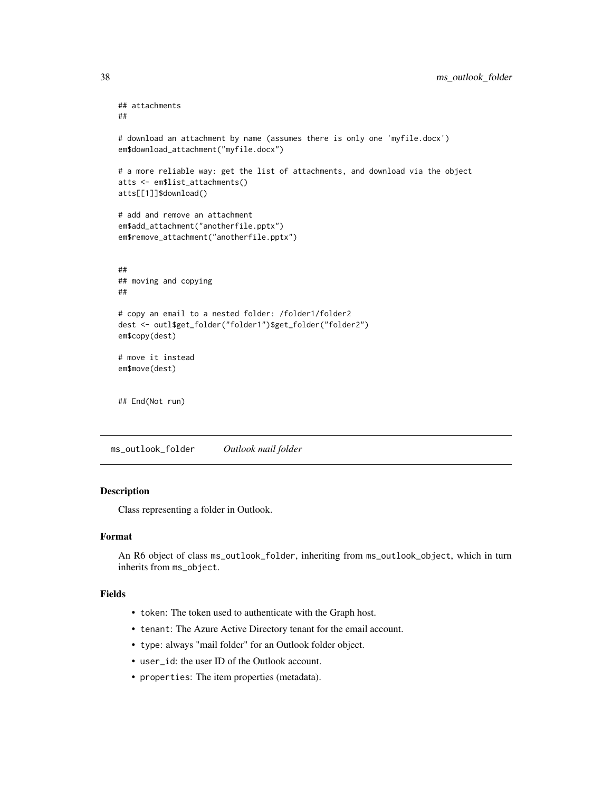```
## attachments
##
# download an attachment by name (assumes there is only one 'myfile.docx')
em$download_attachment("myfile.docx")
# a more reliable way: get the list of attachments, and download via the object
atts <- em$list_attachments()
atts[[1]]$download()
# add and remove an attachment
em$add_attachment("anotherfile.pptx")
em$remove_attachment("anotherfile.pptx")
##
## moving and copying
##
# copy an email to a nested folder: /folder1/folder2
dest <- outl$get_folder("folder1")$get_folder("folder2")
em$copy(dest)
# move it instead
em$move(dest)
## End(Not run)
```
<span id="page-37-1"></span>ms\_outlook\_folder *Outlook mail folder*

#### Description

Class representing a folder in Outlook.

# Format

An R6 object of class ms\_outlook\_folder, inheriting from ms\_outlook\_object, which in turn inherits from ms\_object.

# Fields

- token: The token used to authenticate with the Graph host.
- tenant: The Azure Active Directory tenant for the email account.
- type: always "mail folder" for an Outlook folder object.
- user\_id: the user ID of the Outlook account.
- properties: The item properties (metadata).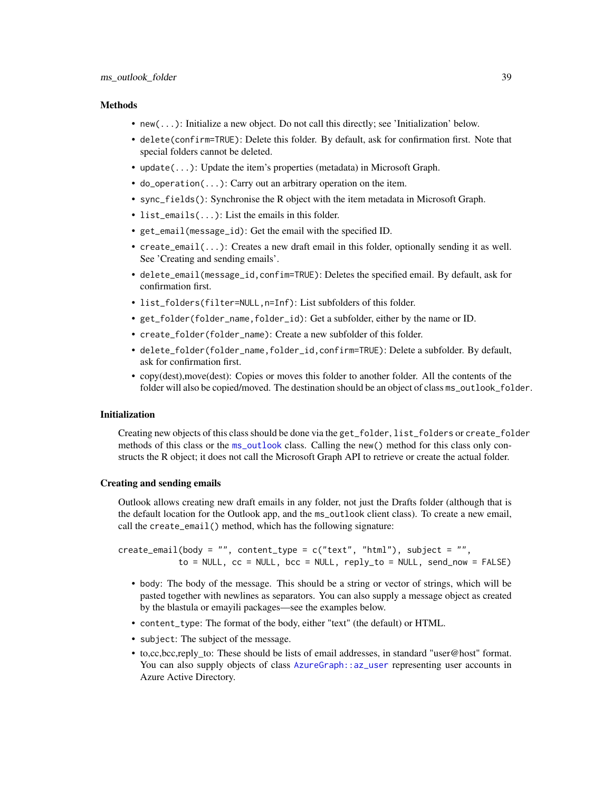#### <span id="page-38-0"></span>**Methods**

- new(...): Initialize a new object. Do not call this directly; see 'Initialization' below.
- delete(confirm=TRUE): Delete this folder. By default, ask for confirmation first. Note that special folders cannot be deleted.
- update(...): Update the item's properties (metadata) in Microsoft Graph.
- do\_operation(...): Carry out an arbitrary operation on the item.
- sync\_fields(): Synchronise the R object with the item metadata in Microsoft Graph.
- list\_emails(...): List the emails in this folder.
- get\_email(message\_id): Get the email with the specified ID.
- create\_email(...): Creates a new draft email in this folder, optionally sending it as well. See 'Creating and sending emails'.
- delete\_email(message\_id,confim=TRUE): Deletes the specified email. By default, ask for confirmation first.
- list\_folders(filter=NULL,n=Inf): List subfolders of this folder.
- get\_folder(folder\_name,folder\_id): Get a subfolder, either by the name or ID.
- create\_folder(folder\_name): Create a new subfolder of this folder.
- delete\_folder(folder\_name,folder\_id,confirm=TRUE): Delete a subfolder. By default, ask for confirmation first.
- copy(dest), move(dest): Copies or moves this folder to another folder. All the contents of the folder will also be copied/moved. The destination should be an object of class ms\_outlook\_folder.

#### Initialization

Creating new objects of this class should be done via the get\_folder, list\_folders or create\_folder methods of this class or the [ms\\_outlook](#page-27-1) class. Calling the new() method for this class only constructs the R object; it does not call the Microsoft Graph API to retrieve or create the actual folder.

# Creating and sending emails

Outlook allows creating new draft emails in any folder, not just the Drafts folder (although that is the default location for the Outlook app, and the ms\_outlook client class). To create a new email, call the create\_email() method, which has the following signature:

 $createst\_email(body = "", content_type = c("text", "html"), subject = "",$  $to = NULL$ ,  $cc = NULL$ ,  $bcc = NULL$ ,  $reply_to = NULL$ ,  $send_new = FALSE$ )

- body: The body of the message. This should be a string or vector of strings, which will be pasted together with newlines as separators. You can also supply a message object as created by the blastula or emayili packages—see the examples below.
- content\_type: The format of the body, either "text" (the default) or HTML.
- subject: The subject of the message.
- to,cc,bcc,reply\_to: These should be lists of email addresses, in standard "user@host" format. You can also supply objects of class [AzureGraph::az\\_user](#page-0-0) representing user accounts in Azure Active Directory.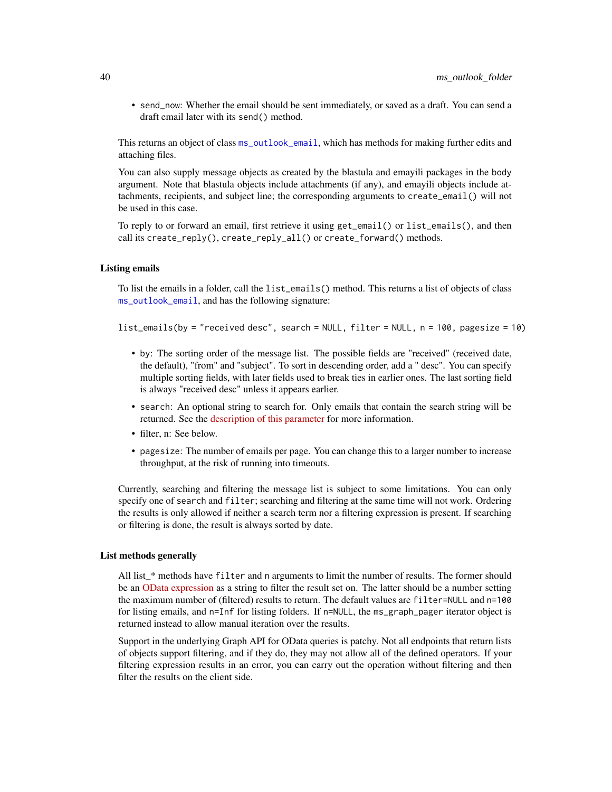• send\_now: Whether the email should be sent immediately, or saved as a draft. You can send a draft email later with its send() method.

This returns an object of class [ms\\_outlook\\_email](#page-32-1), which has methods for making further edits and attaching files.

You can also supply message objects as created by the blastula and emayili packages in the body argument. Note that blastula objects include attachments (if any), and emayili objects include attachments, recipients, and subject line; the corresponding arguments to create\_email() will not be used in this case.

To reply to or forward an email, first retrieve it using get\_email() or list\_emails(), and then call its create\_reply(),  $create\_reply\_all()$  or create\_forward() methods.

#### Listing emails

To list the emails in a folder, call the list\_emails() method. This returns a list of objects of class [ms\\_outlook\\_email](#page-32-1), and has the following signature:

list\_emails(by = "received desc", search = NULL, filter = NULL, n = 100, pagesize = 10)

- by: The sorting order of the message list. The possible fields are "received" (received date, the default), "from" and "subject". To sort in descending order, add a " desc". You can specify multiple sorting fields, with later fields used to break ties in earlier ones. The last sorting field is always "received desc" unless it appears earlier.
- search: An optional string to search for. Only emails that contain the search string will be returned. See the [description of this parameter](https://docs.microsoft.com/en-us/graph/query-parameters#search-parameter) for more information.
- filter, n: See below.
- pagesize: The number of emails per page. You can change this to a larger number to increase throughput, at the risk of running into timeouts.

Currently, searching and filtering the message list is subject to some limitations. You can only specify one of search and filter; searching and filtering at the same time will not work. Ordering the results is only allowed if neither a search term nor a filtering expression is present. If searching or filtering is done, the result is always sorted by date.

# List methods generally

All list\_\* methods have filter and n arguments to limit the number of results. The former should be an [OData expression](https://docs.microsoft.com/en-us/graph/query-parameters#filter-parameter) as a string to filter the result set on. The latter should be a number setting the maximum number of (filtered) results to return. The default values are filter=NULL and n=100 for listing emails, and n=Inf for listing folders. If n=NULL, the ms\_graph\_pager iterator object is returned instead to allow manual iteration over the results.

Support in the underlying Graph API for OData queries is patchy. Not all endpoints that return lists of objects support filtering, and if they do, they may not allow all of the defined operators. If your filtering expression results in an error, you can carry out the operation without filtering and then filter the results on the client side.

<span id="page-39-0"></span>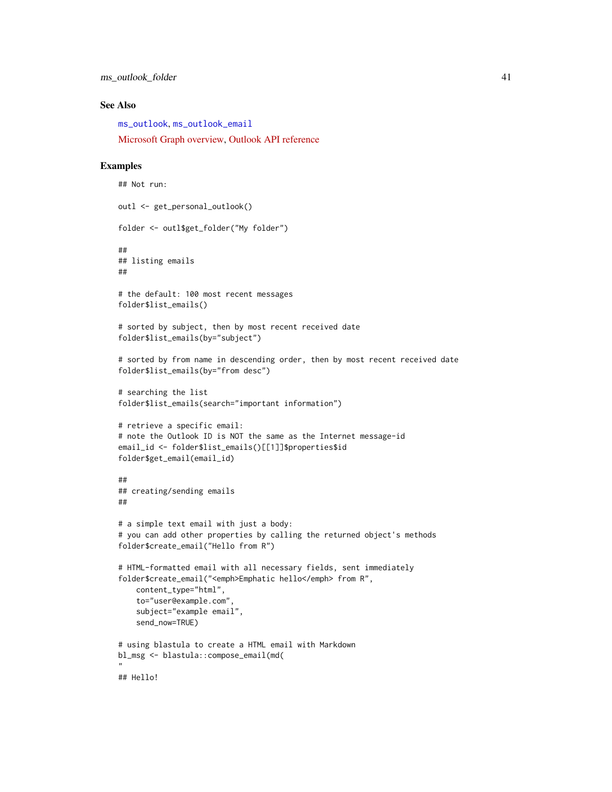<span id="page-40-0"></span>ms\_outlook\_folder 41

# See Also

[ms\\_outlook](#page-27-1), [ms\\_outlook\\_email](#page-32-1)

[Microsoft Graph overview,](https://docs.microsoft.com/en-us/graph/overview) [Outlook API reference](https://docs.microsoft.com/en-us/graph/api/resources/mail-api-overview?view=graph-rest-1.0)

#### Examples

```
## Not run:
outl <- get_personal_outlook()
folder <- outl$get_folder("My folder")
##
## listing emails
##
# the default: 100 most recent messages
folder$list_emails()
# sorted by subject, then by most recent received date
folder$list_emails(by="subject")
# sorted by from name in descending order, then by most recent received date
folder$list_emails(by="from desc")
# searching the list
folder$list_emails(search="important information")
# retrieve a specific email:
# note the Outlook ID is NOT the same as the Internet message-id
email_id <- folder$list_emails()[[1]]$properties$id
folder$get_email(email_id)
##
## creating/sending emails
##
# a simple text email with just a body:
# you can add other properties by calling the returned object's methods
folder$create_email("Hello from R")
# HTML-formatted email with all necessary fields, sent immediately
folder$create_email("<emph>Emphatic hello</emph> from R",
    content_type="html",
    to="user@example.com",
    subject="example email",
    send_now=TRUE)
# using blastula to create a HTML email with Markdown
bl_msg <- blastula::compose_email(md(
"
## Hello!
```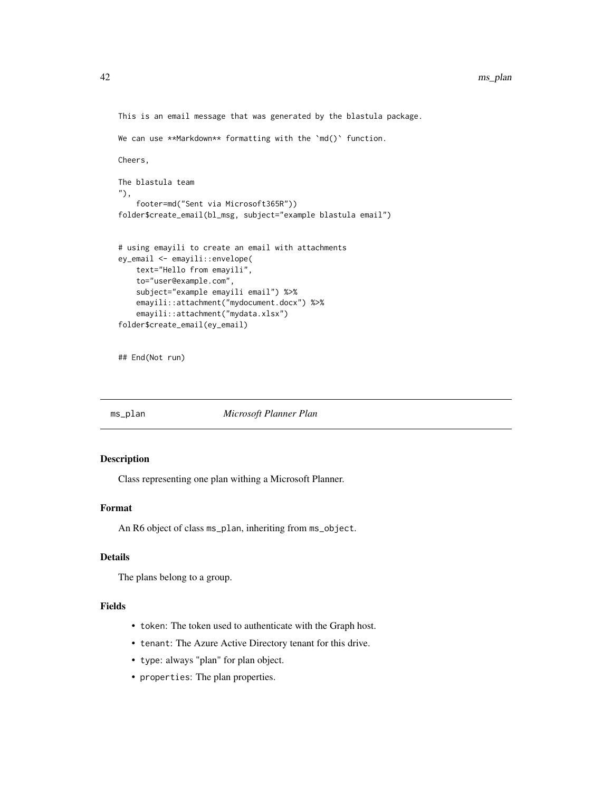```
This is an email message that was generated by the blastula package.
We can use **Markdown** formatting with the 'md()' function.
Cheers,
The blastula team
"),
    footer=md("Sent via Microsoft365R"))
folder$create_email(bl_msg, subject="example blastula email")
# using emayili to create an email with attachments
ey_email <- emayili::envelope(
    text="Hello from emayili",
   to="user@example.com",
   subject="example emayili email") %>%
   emayili::attachment("mydocument.docx") %>%
   emayili::attachment("mydata.xlsx")
folder$create_email(ey_email)
```
## End(Not run)

<span id="page-41-1"></span>ms\_plan *Microsoft Planner Plan*

# Description

Class representing one plan withing a Microsoft Planner.

# Format

An R6 object of class ms\_plan, inheriting from ms\_object.

# Details

The plans belong to a group.

# Fields

- token: The token used to authenticate with the Graph host.
- tenant: The Azure Active Directory tenant for this drive.
- type: always "plan" for plan object.
- properties: The plan properties.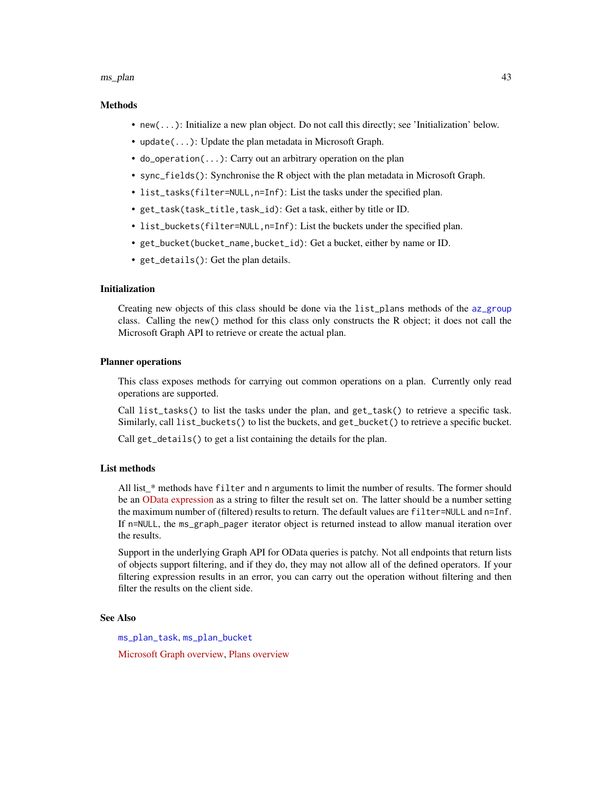#### <span id="page-42-0"></span>ms\_plan 43

# Methods

- new(...): Initialize a new plan object. Do not call this directly; see 'Initialization' below.
- update(...): Update the plan metadata in Microsoft Graph.
- do\_operation(...): Carry out an arbitrary operation on the plan
- sync\_fields(): Synchronise the R object with the plan metadata in Microsoft Graph.
- list\_tasks(filter=NULL,n=Inf): List the tasks under the specified plan.
- get\_task(task\_title,task\_id): Get a task, either by title or ID.
- list\_buckets(filter=NULL,n=Inf): List the buckets under the specified plan.
- get\_bucket(bucket\_name,bucket\_id): Get a bucket, either by name or ID.
- get\_details(): Get the plan details.

# Initialization

Creating new objects of this class should be done via the list\_plans methods of the [az\\_group](#page-0-0) class. Calling the new() method for this class only constructs the R object; it does not call the Microsoft Graph API to retrieve or create the actual plan.

# Planner operations

This class exposes methods for carrying out common operations on a plan. Currently only read operations are supported.

Call list\_tasks() to list the tasks under the plan, and get\_task() to retrieve a specific task. Similarly, call list\_buckets() to list the buckets, and get\_bucket() to retrieve a specific bucket.

Call get\_details() to get a list containing the details for the plan.

# List methods

All list \* methods have filter and n arguments to limit the number of results. The former should be an [OData expression](https://docs.microsoft.com/en-us/graph/query-parameters#filter-parameter) as a string to filter the result set on. The latter should be a number setting the maximum number of (filtered) results to return. The default values are filter=NULL and n=Inf. If n=NULL, the ms\_graph\_pager iterator object is returned instead to allow manual iteration over the results.

Support in the underlying Graph API for OData queries is patchy. Not all endpoints that return lists of objects support filtering, and if they do, they may not allow all of the defined operators. If your filtering expression results in an error, you can carry out the operation without filtering and then filter the results on the client side.

# See Also

[ms\\_plan\\_task](#page-44-1), [ms\\_plan\\_bucket](#page-43-1)

[Microsoft Graph overview,](https://docs.microsoft.com/en-us/graph/overview) [Plans overview](https://docs.microsoft.com/en-us/graph/api/resources/planner-overview?view=graph-rest-beta)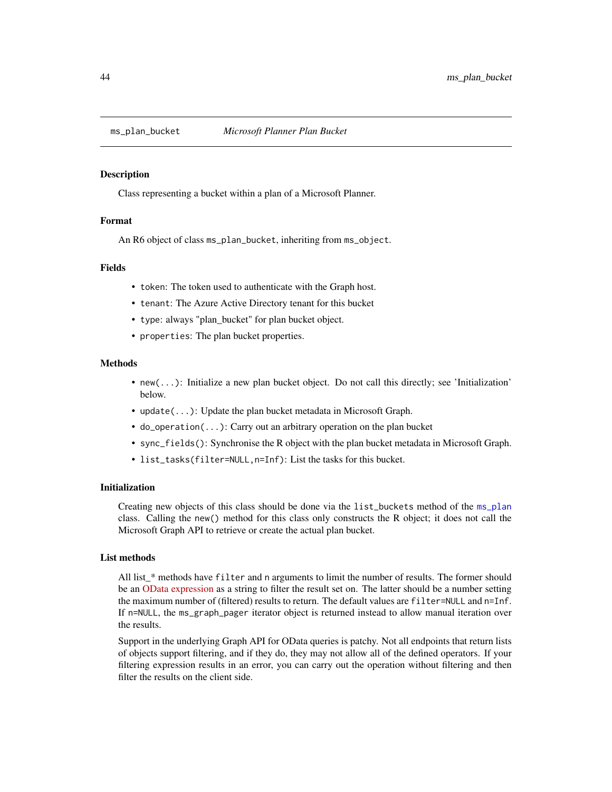<span id="page-43-1"></span><span id="page-43-0"></span>

# Description

Class representing a bucket within a plan of a Microsoft Planner.

# Format

An R6 object of class ms\_plan\_bucket, inheriting from ms\_object.

#### Fields

- token: The token used to authenticate with the Graph host.
- tenant: The Azure Active Directory tenant for this bucket
- type: always "plan\_bucket" for plan bucket object.
- properties: The plan bucket properties.

# Methods

- new(...): Initialize a new plan bucket object. Do not call this directly; see 'Initialization' below.
- update(...): Update the plan bucket metadata in Microsoft Graph.
- do\_operation(...): Carry out an arbitrary operation on the plan bucket
- sync\_fields(): Synchronise the R object with the plan bucket metadata in Microsoft Graph.
- list\_tasks(filter=NULL,n=Inf): List the tasks for this bucket.

# Initialization

Creating new objects of this class should be done via the list\_buckets method of the [ms\\_plan](#page-41-1) class. Calling the new() method for this class only constructs the R object; it does not call the Microsoft Graph API to retrieve or create the actual plan bucket.

# List methods

All list\_\* methods have filter and n arguments to limit the number of results. The former should be an [OData expression](https://docs.microsoft.com/en-us/graph/query-parameters#filter-parameter) as a string to filter the result set on. The latter should be a number setting the maximum number of (filtered) results to return. The default values are filter=NULL and n=Inf. If n=NULL, the ms\_graph\_pager iterator object is returned instead to allow manual iteration over the results.

Support in the underlying Graph API for OData queries is patchy. Not all endpoints that return lists of objects support filtering, and if they do, they may not allow all of the defined operators. If your filtering expression results in an error, you can carry out the operation without filtering and then filter the results on the client side.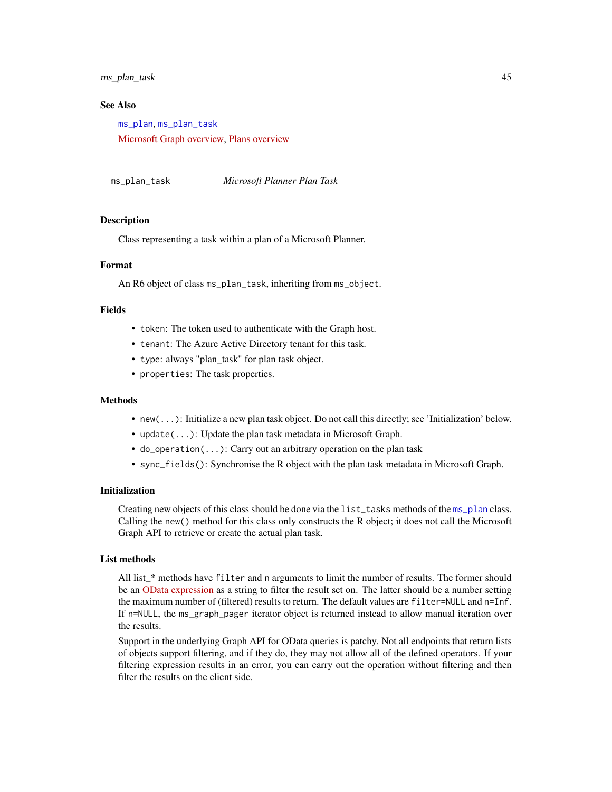<span id="page-44-0"></span>ms\_plan\_task 45

# See Also

[ms\\_plan](#page-41-1), [ms\\_plan\\_task](#page-44-1) [Microsoft Graph overview,](https://docs.microsoft.com/en-us/graph/overview) [Plans overview](https://docs.microsoft.com/en-us/graph/api/resources/planner-overview?view=graph-rest-beta)

<span id="page-44-1"></span>ms\_plan\_task *Microsoft Planner Plan Task*

# Description

Class representing a task within a plan of a Microsoft Planner.

# Format

An R6 object of class ms\_plan\_task, inheriting from ms\_object.

#### Fields

- token: The token used to authenticate with the Graph host.
- tenant: The Azure Active Directory tenant for this task.
- type: always "plan\_task" for plan task object.
- properties: The task properties.

#### Methods

- new(...): Initialize a new plan task object. Do not call this directly; see 'Initialization' below.
- update(...): Update the plan task metadata in Microsoft Graph.
- do\_operation(...): Carry out an arbitrary operation on the plan task
- sync\_fields(): Synchronise the R object with the plan task metadata in Microsoft Graph.

# Initialization

Creating new objects of this class should be done via the list\_tasks methods of the [ms\\_plan](#page-41-1) class. Calling the new() method for this class only constructs the R object; it does not call the Microsoft Graph API to retrieve or create the actual plan task.

# List methods

All list\_\* methods have filter and n arguments to limit the number of results. The former should be an [OData expression](https://docs.microsoft.com/en-us/graph/query-parameters#filter-parameter) as a string to filter the result set on. The latter should be a number setting the maximum number of (filtered) results to return. The default values are filter=NULL and n=Inf. If n=NULL, the ms\_graph\_pager iterator object is returned instead to allow manual iteration over the results.

Support in the underlying Graph API for OData queries is patchy. Not all endpoints that return lists of objects support filtering, and if they do, they may not allow all of the defined operators. If your filtering expression results in an error, you can carry out the operation without filtering and then filter the results on the client side.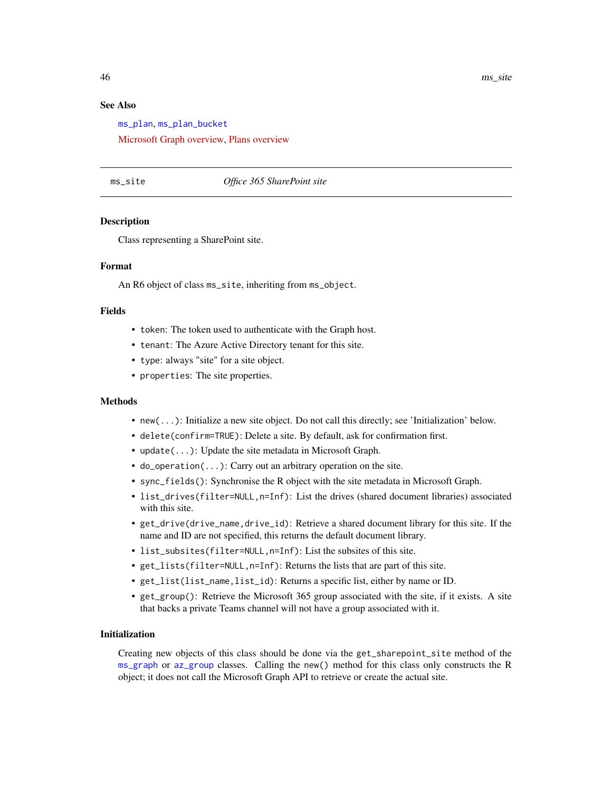# See Also

[ms\\_plan](#page-41-1), [ms\\_plan\\_bucket](#page-43-1)

[Microsoft Graph overview,](https://docs.microsoft.com/en-us/graph/overview) [Plans overview](https://docs.microsoft.com/en-us/graph/api/resources/planner-overview?view=graph-rest-beta)

# <span id="page-45-1"></span>ms\_site *Office 365 SharePoint site*

# Description

Class representing a SharePoint site.

#### Format

An R6 object of class ms\_site, inheriting from ms\_object.

#### Fields

- token: The token used to authenticate with the Graph host.
- tenant: The Azure Active Directory tenant for this site.
- type: always "site" for a site object.
- properties: The site properties.

# Methods

- new(...): Initialize a new site object. Do not call this directly; see 'Initialization' below.
- delete(confirm=TRUE): Delete a site. By default, ask for confirmation first.
- update(...): Update the site metadata in Microsoft Graph.
- do\_operation(...): Carry out an arbitrary operation on the site.
- sync\_fields(): Synchronise the R object with the site metadata in Microsoft Graph.
- list\_drives(filter=NULL,n=Inf): List the drives (shared document libraries) associated with this site.
- get\_drive(drive\_name,drive\_id): Retrieve a shared document library for this site. If the name and ID are not specified, this returns the default document library.
- list\_subsites(filter=NULL,n=Inf): List the subsites of this site.
- get\_lists(filter=NULL,n=Inf): Returns the lists that are part of this site.
- get\_list(list\_name,list\_id): Returns a specific list, either by name or ID.
- get\_group(): Retrieve the Microsoft 365 group associated with the site, if it exists. A site that backs a private Teams channel will not have a group associated with it.

# Initialization

Creating new objects of this class should be done via the get\_sharepoint\_site method of the [ms\\_graph](#page-0-0) or [az\\_group](#page-0-0) classes. Calling the new() method for this class only constructs the R object; it does not call the Microsoft Graph API to retrieve or create the actual site.

<span id="page-45-0"></span>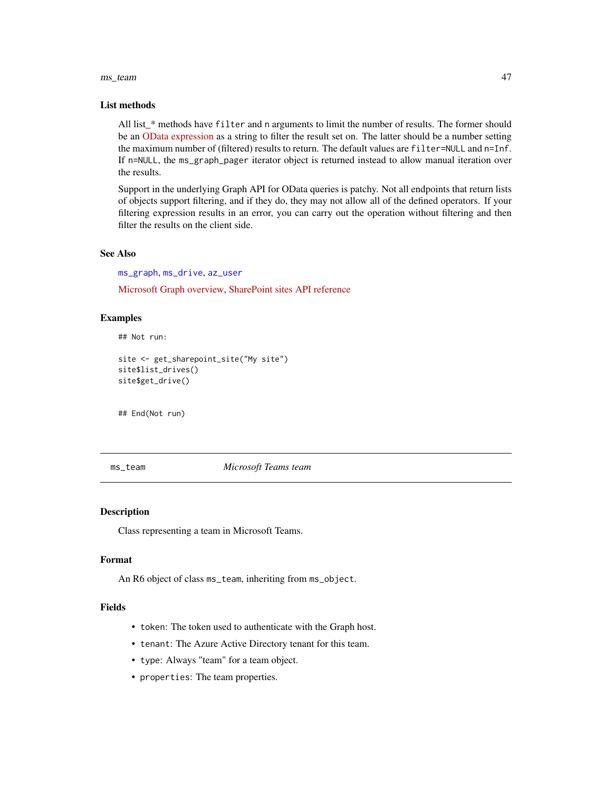#### <span id="page-46-0"></span>ms\_team 47

#### List methods

All list\_\* methods have filter and n arguments to limit the number of results. The former should be an [OData expression](https://docs.microsoft.com/en-us/graph/query-parameters#filter-parameter) as a string to filter the result set on. The latter should be a number setting the maximum number of (filtered) results to return. The default values are filter=NULL and n=Inf. If n=NULL, the ms\_graph\_pager iterator object is returned instead to allow manual iteration over the results.

Support in the underlying Graph API for OData queries is patchy. Not all endpoints that return lists of objects support filtering, and if they do, they may not allow all of the defined operators. If your filtering expression results in an error, you can carry out the operation without filtering and then filter the results on the client side.

# See Also

[ms\\_graph](#page-0-0), [ms\\_drive](#page-17-1), [az\\_user](#page-0-0)

[Microsoft Graph overview,](https://docs.microsoft.com/en-us/graph/overview) [SharePoint sites API reference](https://docs.microsoft.com/en-us/graph/api/resources/sharepoint?view=graph-rest-1.0)

# Examples

## Not run:

```
site <- get_sharepoint_site("My site")
site$list_drives()
site$get_drive()
```
## End(Not run)

<span id="page-46-1"></span>ms\_team *Microsoft Teams team*

# Description

Class representing a team in Microsoft Teams.

# Format

An R6 object of class ms\_team, inheriting from ms\_object.

#### Fields

- token: The token used to authenticate with the Graph host.
- tenant: The Azure Active Directory tenant for this team.
- type: Always "team" for a team object.
- properties: The team properties.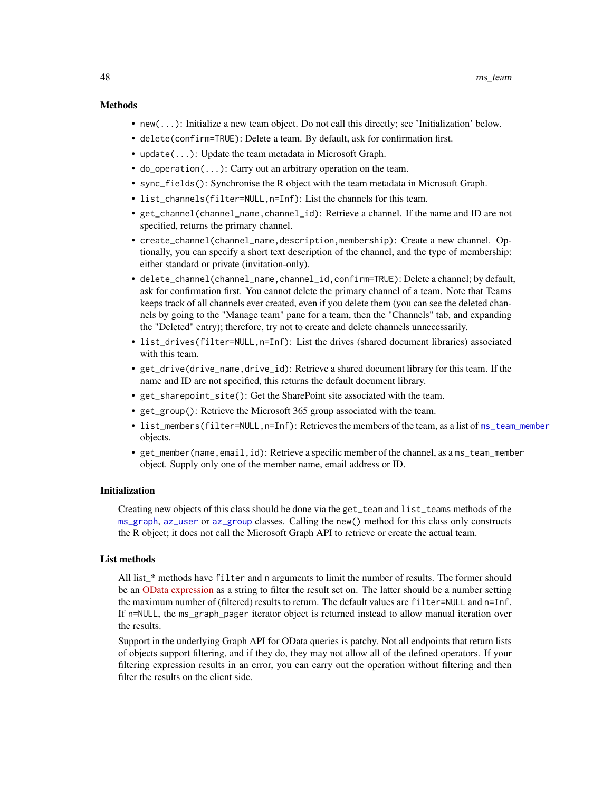# <span id="page-47-0"></span>Methods

- new(...): Initialize a new team object. Do not call this directly; see 'Initialization' below.
- delete(confirm=TRUE): Delete a team. By default, ask for confirmation first.
- update(...): Update the team metadata in Microsoft Graph.
- do\_operation(...): Carry out an arbitrary operation on the team.
- sync\_fields(): Synchronise the R object with the team metadata in Microsoft Graph.
- list\_channels(filter=NULL,n=Inf): List the channels for this team.
- get\_channel(channel\_name,channel\_id): Retrieve a channel. If the name and ID are not specified, returns the primary channel.
- create\_channel(channel\_name,description,membership): Create a new channel. Optionally, you can specify a short text description of the channel, and the type of membership: either standard or private (invitation-only).
- delete\_channel(channel\_name,channel\_id,confirm=TRUE): Delete a channel; by default, ask for confirmation first. You cannot delete the primary channel of a team. Note that Teams keeps track of all channels ever created, even if you delete them (you can see the deleted channels by going to the "Manage team" pane for a team, then the "Channels" tab, and expanding the "Deleted" entry); therefore, try not to create and delete channels unnecessarily.
- list\_drives(filter=NULL,n=Inf): List the drives (shared document libraries) associated with this team.
- get\_drive(drive\_name,drive\_id): Retrieve a shared document library for this team. If the name and ID are not specified, this returns the default document library.
- get\_sharepoint\_site(): Get the SharePoint site associated with the team.
- get\_group(): Retrieve the Microsoft 365 group associated with the team.
- list\_members(filter=NULL,n=Inf): Retrieves the members of the team, as a list of [ms\\_team\\_member](#page-48-1) objects.
- get\_member(name,email,id): Retrieve a specific member of the channel, as a ms\_team\_member object. Supply only one of the member name, email address or ID.

# Initialization

Creating new objects of this class should be done via the get\_team and list\_teams methods of the [ms\\_graph](#page-0-0), [az\\_user](#page-0-0) or [az\\_group](#page-0-0) classes. Calling the new() method for this class only constructs the R object; it does not call the Microsoft Graph API to retrieve or create the actual team.

# List methods

All list\_\* methods have filter and n arguments to limit the number of results. The former should be an [OData expression](https://docs.microsoft.com/en-us/graph/query-parameters#filter-parameter) as a string to filter the result set on. The latter should be a number setting the maximum number of (filtered) results to return. The default values are filter=NULL and n=Inf. If n=NULL, the ms\_graph\_pager iterator object is returned instead to allow manual iteration over the results.

Support in the underlying Graph API for OData queries is patchy. Not all endpoints that return lists of objects support filtering, and if they do, they may not allow all of the defined operators. If your filtering expression results in an error, you can carry out the operation without filtering and then filter the results on the client side.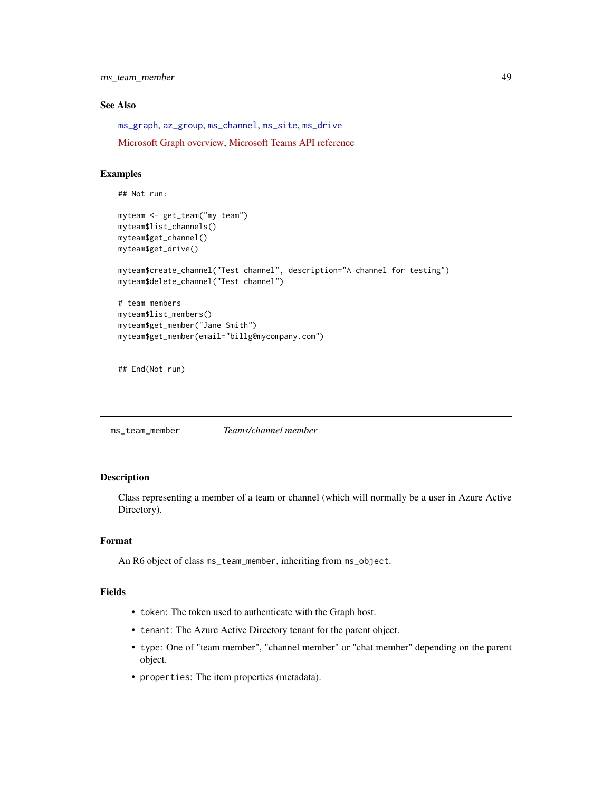<span id="page-48-0"></span>ms\_team\_member 49

# See Also

[ms\\_graph](#page-0-0), [az\\_group](#page-0-0), [ms\\_channel](#page-9-1), [ms\\_site](#page-45-1), [ms\\_drive](#page-17-1)

[Microsoft Graph overview,](https://docs.microsoft.com/en-us/graph/overview) [Microsoft Teams API reference](https://docs.microsoft.com/en-us/graph/api/resources/teams-api-overview?view=graph-rest-1.0)

# Examples

```
## Not run:
myteam <- get_team("my team")
myteam$list_channels()
myteam$get_channel()
myteam$get_drive()
myteam$create_channel("Test channel", description="A channel for testing")
myteam$delete_channel("Test channel")
# team members
myteam$list_members()
myteam$get_member("Jane Smith")
myteam$get_member(email="billg@mycompany.com")
```

```
## End(Not run)
```
<span id="page-48-1"></span>ms\_team\_member *Teams/channel member*

# Description

Class representing a member of a team or channel (which will normally be a user in Azure Active Directory).

# Format

An R6 object of class ms\_team\_member, inheriting from ms\_object.

# Fields

- token: The token used to authenticate with the Graph host.
- tenant: The Azure Active Directory tenant for the parent object.
- type: One of "team member", "channel member" or "chat member" depending on the parent object.
- properties: The item properties (metadata).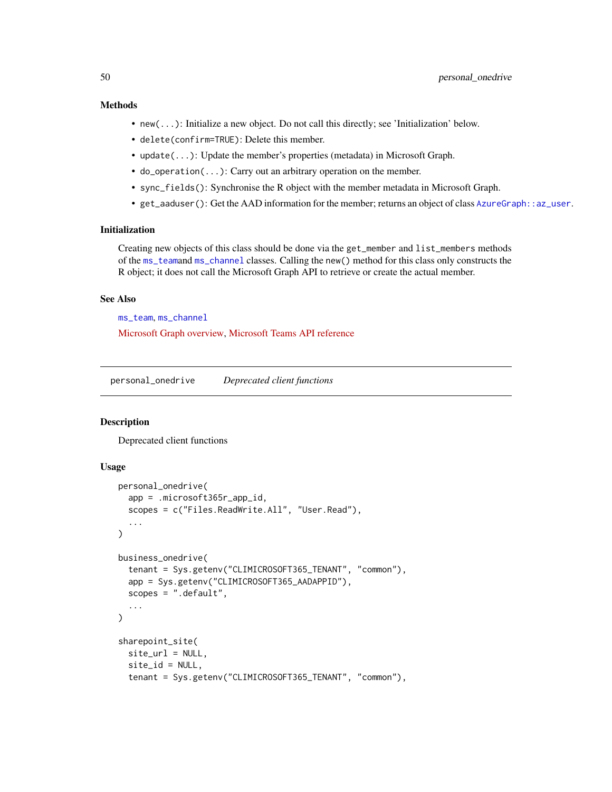# <span id="page-49-0"></span>Methods

- new(...): Initialize a new object. Do not call this directly; see 'Initialization' below.
- delete(confirm=TRUE): Delete this member.
- update(...): Update the member's properties (metadata) in Microsoft Graph.
- do\_operation(...): Carry out an arbitrary operation on the member.
- sync\_fields(): Synchronise the R object with the member metadata in Microsoft Graph.
- get\_aaduser(): Get the AAD information for the member; returns an object of class [AzureGraph::az\\_user](#page-0-0).

# Initialization

Creating new objects of this class should be done via the get\_member and list\_members methods of the [ms\\_team](#page-46-1)and [ms\\_channel](#page-9-1) classes. Calling the new() method for this class only constructs the R object; it does not call the Microsoft Graph API to retrieve or create the actual member.

# See Also

[ms\\_team](#page-46-1), [ms\\_channel](#page-9-1)

[Microsoft Graph overview,](https://docs.microsoft.com/en-us/graph/overview) [Microsoft Teams API reference](https://docs.microsoft.com/en-us/graph/api/resources/teams-api-overview?view=graph-rest-1.0)

personal\_onedrive *Deprecated client functions*

# Description

Deprecated client functions

# Usage

```
personal_onedrive(
  app = .microsoft365r_app_id,
  scopes = c("Files.ReadWrite.All", "User.Read"),
  ...
\mathcal{L}business_onedrive(
  tenant = Sys.getenv("CLIMICROSOFT365_TENANT", "common"),
  app = Sys.getenv("CLIMICROSOFT365_AADAPPID"),
  scopes = ".default",
  ...
\lambdasharepoint_site(
  site_url = NULL,
  site_id = NULL,
  tenant = Sys.getenv("CLIMICROSOFT365_TENANT", "common"),
```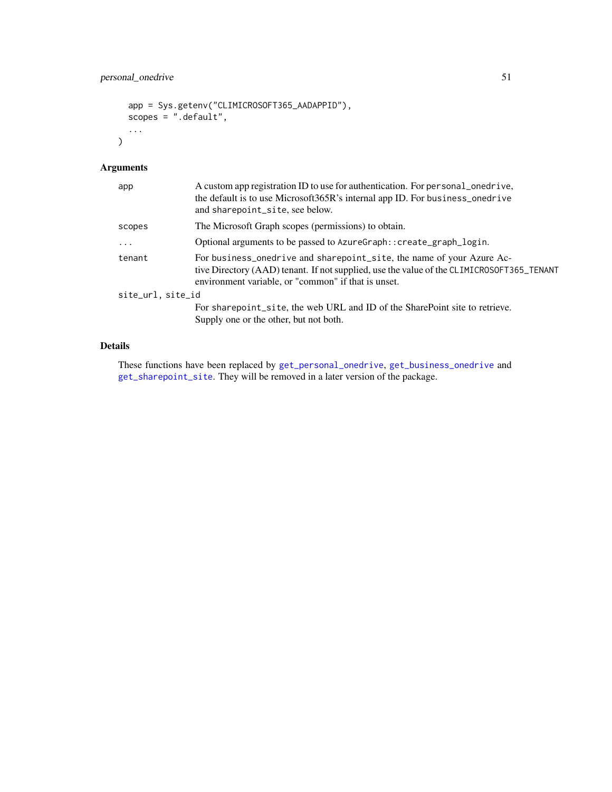```
app = Sys.getenv("CLIMICROSOFT365_AADAPPID"),
  scopes = ".default",
  ...
\mathcal{L}
```
# Arguments

| app               | A custom app registration ID to use for authentication. For personal_onedrive,<br>the default is to use Microsoft365R's internal app ID. For business_onedrive<br>and sharepoint_site, see below.                         |
|-------------------|---------------------------------------------------------------------------------------------------------------------------------------------------------------------------------------------------------------------------|
| scopes            | The Microsoft Graph scopes (permissions) to obtain.                                                                                                                                                                       |
| $\ddots$          | Optional arguments to be passed to AzureGraph: : create_graph_login.                                                                                                                                                      |
| tenant            | For business_onedrive and sharepoint_site, the name of your Azure Ac-<br>tive Directory (AAD) tenant. If not supplied, use the value of the CLIMICROSOFT365_TENANT<br>environment variable, or "common" if that is unset. |
| site_url, site_id |                                                                                                                                                                                                                           |
|                   | For sharepoint site, the web URL and ID of the SharePoint site to retrieve.<br>Supply one or the other, but not both.                                                                                                     |

# Details

These functions have been replaced by [get\\_personal\\_onedrive](#page-4-1), [get\\_business\\_onedrive](#page-4-2) and [get\\_sharepoint\\_site](#page-4-2). They will be removed in a later version of the package.